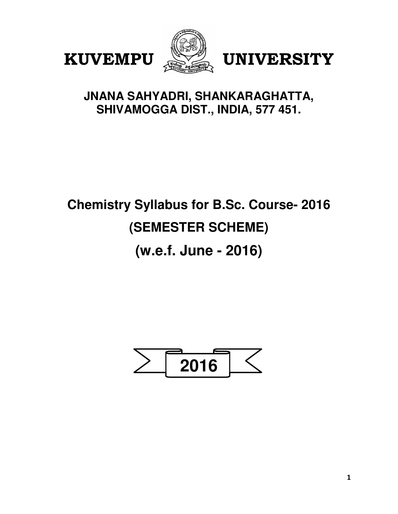





# **JNANA SAHYADRI, SHANKARAGHATTA, SHIVAMOGGA DIST., INDIA, 577 451.**

# **Chemistry Syllabus for B.Sc. Course- 2016 (SEMESTER SCHEME)**

**(w.e.f. June - 2016)**

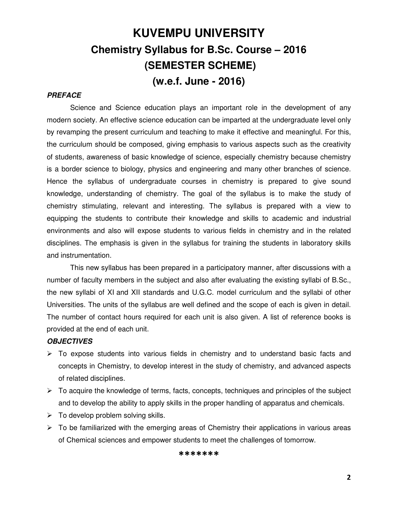# **KUVEMPU UNIVERSITY Chemistry Syllabus for B.Sc. Course – 2016 (SEMESTER SCHEME) (w.e.f. June - 2016)**

### **PREFACE**

Science and Science education plays an important role in the development of any modern society. An effective science education can be imparted at the undergraduate level only by revamping the present curriculum and teaching to make it effective and meaningful. For this, the curriculum should be composed, giving emphasis to various aspects such as the creativity of students, awareness of basic knowledge of science, especially chemistry because chemistry is a border science to biology, physics and engineering and many other branches of science. Hence the syllabus of undergraduate courses in chemistry is prepared to give sound knowledge, understanding of chemistry. The goal of the syllabus is to make the study of chemistry stimulating, relevant and interesting. The syllabus is prepared with a view to equipping the students to contribute their knowledge and skills to academic and industrial environments and also will expose students to various fields in chemistry and in the related disciplines. The emphasis is given in the syllabus for training the students in laboratory skills and instrumentation.

This new syllabus has been prepared in a participatory manner, after discussions with a number of faculty members in the subject and also after evaluating the existing syllabi of B.Sc., the new syllabi of XI and XII standards and U.G.C. model curriculum and the syllabi of other Universities. The units of the syllabus are well defined and the scope of each is given in detail. The number of contact hours required for each unit is also given. A list of reference books is provided at the end of each unit.

### **OBJECTIVES**

- $\triangleright$  To expose students into various fields in chemistry and to understand basic facts and concepts in Chemistry, to develop interest in the study of chemistry, and advanced aspects of related disciplines.
- $\triangleright$  To acquire the knowledge of terms, facts, concepts, techniques and principles of the subject and to develop the ability to apply skills in the proper handling of apparatus and chemicals.
- $\triangleright$  To develop problem solving skills.
- $\triangleright$  To be familiarized with the emerging areas of Chemistry their applications in various areas of Chemical sciences and empower students to meet the challenges of tomorrow.

### \*\*\*\*\*\*\*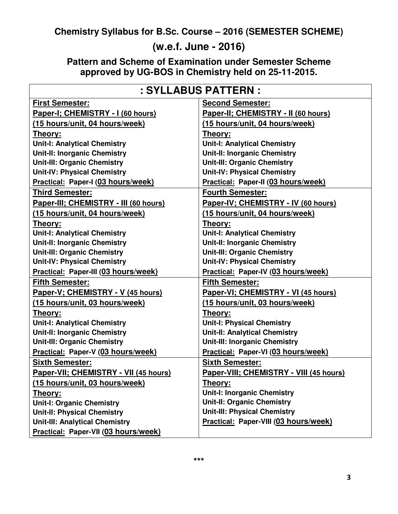**Chemistry Syllabus for B.Sc. Course – 2016 (SEMESTER SCHEME)** 

# **(w.e.f. June - 2016)**

**Pattern and Scheme of Examination under Semester Scheme approved by UG-BOS in Chemistry held on 25-11-2015.**

| : SYLLABUS PATTERN :                  |                                         |  |  |
|---------------------------------------|-----------------------------------------|--|--|
| <b>First Semester:</b>                | <b>Second Semester:</b>                 |  |  |
| Paper-I; CHEMISTRY - I (60 hours)     | Paper-II; CHEMISTRY - II (60 hours)     |  |  |
| (15 hours/unit, 04 hours/week)        | (15 hours/unit, 04 hours/week)          |  |  |
| Theory:                               | Theory:                                 |  |  |
| <b>Unit-I: Analytical Chemistry</b>   | <b>Unit-I: Analytical Chemistry</b>     |  |  |
| <b>Unit-II: Inorganic Chemistry</b>   | <b>Unit-II: Inorganic Chemistry</b>     |  |  |
| <b>Unit-III: Organic Chemistry</b>    | <b>Unit-III: Organic Chemistry</b>      |  |  |
| <b>Unit-IV: Physical Chemistry</b>    | <b>Unit-IV: Physical Chemistry</b>      |  |  |
| Practical: Paper-I (03 hours/week)    | Practical: Paper-II (03 hours/week)     |  |  |
| Third Semester:                       | <b>Fourth Semester:</b>                 |  |  |
| Paper-III; CHEMISTRY - III (60 hours) | Paper-IV; CHEMISTRY - IV (60 hours)     |  |  |
| (15 hours/unit, 04 hours/week)        | (15 hours/unit, 04 hours/week)          |  |  |
| Theory:                               | Theory:                                 |  |  |
| <b>Unit-I: Analytical Chemistry</b>   | <b>Unit-I: Analytical Chemistry</b>     |  |  |
| <b>Unit-II: Inorganic Chemistry</b>   | <b>Unit-II: Inorganic Chemistry</b>     |  |  |
| <b>Unit-III: Organic Chemistry</b>    | <b>Unit-III: Organic Chemistry</b>      |  |  |
| <b>Unit-IV: Physical Chemistry</b>    | <b>Unit-IV: Physical Chemistry</b>      |  |  |
| Practical: Paper-III (03 hours/week)  | Practical: Paper-IV (03 hours/week)     |  |  |
| Fifth Semester:                       | <b>Fifth Semester:</b>                  |  |  |
| Paper-V; CHEMISTRY - V (45 hours)     | Paper-VI; CHEMISTRY - VI (45 hours)     |  |  |
| (15 hours/unit, 03 hours/week)        | (15 hours/unit, 03 hours/week)          |  |  |
| Theory:                               | Theory:                                 |  |  |
| <b>Unit-I: Analytical Chemistry</b>   | <b>Unit-I: Physical Chemistry</b>       |  |  |
| <b>Unit-II: Inorganic Chemistry</b>   | <b>Unit-II: Analytical Chemistry</b>    |  |  |
| <b>Unit-III: Organic Chemistry</b>    | <b>Unit-III: Inorganic Chemistry</b>    |  |  |
| Practical: Paper-V (03 hours/week)    | Practical: Paper-VI (03 hours/week)     |  |  |
| <b>Sixth Semester:</b>                | <b>Sixth Semester:</b>                  |  |  |
| Paper-VII; CHEMISTRY - VII (45 hours) | Paper-VIII; CHEMISTRY - VIII (45 hours) |  |  |
| (15 hours/unit, 03 hours/week)        | <b>Theory:</b>                          |  |  |
| <b>Theory:</b>                        | <b>Unit-I: Inorganic Chemistry</b>      |  |  |
| <b>Unit-I: Organic Chemistry</b>      | <b>Unit-II: Organic Chemistry</b>       |  |  |
| <b>Unit-II: Physical Chemistry</b>    | <b>Unit-III: Physical Chemistry</b>     |  |  |
| <b>Unit-III: Analytical Chemistry</b> | Practical: Paper-VIII (03 hours/week)   |  |  |
| Practical: Paper-VII (03 hours/week)  |                                         |  |  |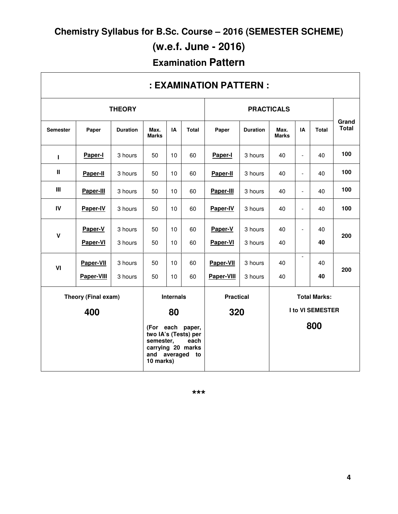**Chemistry Syllabus for B.Sc. Course – 2016 (SEMESTER SCHEME)** 

# **(w.e.f. June - 2016)**

# **Examination Pattern**

| : EXAMINATION PATTERN :                 |            |                 |                                        |     |                                                                             |                         |                 |                      |                          |              |                       |
|-----------------------------------------|------------|-----------------|----------------------------------------|-----|-----------------------------------------------------------------------------|-------------------------|-----------------|----------------------|--------------------------|--------------|-----------------------|
| <b>THEORY</b>                           |            |                 |                                        |     | <b>PRACTICALS</b>                                                           |                         |                 |                      |                          |              |                       |
| <b>Semester</b>                         | Paper      | <b>Duration</b> | Max.<br><b>Marks</b>                   | IA  | <b>Total</b>                                                                | Paper                   | <b>Duration</b> | Max.<br><b>Marks</b> | IA                       | <b>Total</b> | Grand<br><b>Total</b> |
| т                                       | Paper-I    | 3 hours         | 50                                     | 10  | 60                                                                          | Paper-I                 | 3 hours         | 40                   | $\overline{\phantom{a}}$ | 40           | 100                   |
| $\mathbf{I}$                            | Paper-II   | 3 hours         | 50                                     | 10  | 60                                                                          | Paper-II                | 3 hours         | 40                   | $\blacksquare$           | 40           | 100                   |
| Ш                                       | Paper-III  | 3 hours         | 50                                     | 10  | 60                                                                          | Paper-III               | 3 hours         | 40                   | $\blacksquare$           | 40           | 100                   |
| IV                                      | Paper-IV   | 3 hours         | 50                                     | 10  | 60                                                                          | Paper-IV                | 3 hours         | 40                   | $\blacksquare$           | 40           | 100                   |
| $\mathbf v$                             | Paper-V    | 3 hours         | 50                                     | 10  | 60                                                                          | Paper-V                 | 3 hours         | 40                   | $\blacksquare$           | 40           | 200                   |
|                                         | Paper-VI   | 3 hours         | 50                                     | 10  | 60                                                                          | Paper-VI                | 3 hours         | 40                   |                          | 40           |                       |
| VI                                      | Paper-VII  | 3 hours         | 50                                     | 10  | 60                                                                          | Paper-VII               | 3 hours         | 40                   | $\mathbf{r}$             | 40           | 200                   |
|                                         | Paper-VIII | 3 hours         | 50                                     | 10  | 60                                                                          | Paper-VIII              | 3 hours         | 40                   |                          | 40           |                       |
| Theory (Final exam)<br><b>Internals</b> |            |                 | <b>Practical</b>                       |     | <b>Total Marks:</b>                                                         |                         |                 |                      |                          |              |                       |
| 400                                     |            | 80              |                                        | 320 |                                                                             | <b>I to VI SEMESTER</b> |                 |                      |                          |              |                       |
|                                         |            |                 | semester,<br>and averaged<br>10 marks) |     | (For each paper,<br>two IA's (Tests) per<br>each<br>carrying 20 marks<br>to |                         |                 |                      |                          | 800          |                       |

# **: EXAMINATION PATTERN :**

**\*\*\***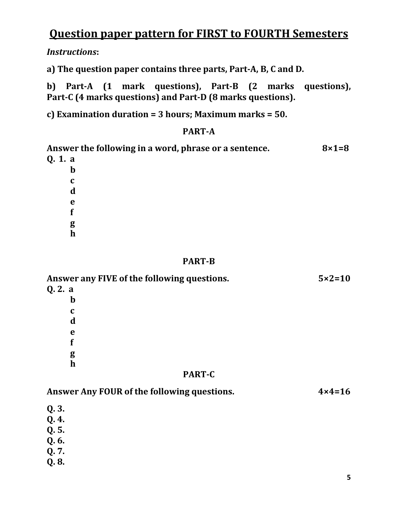# Question paper pattern for FIRST to FOURTH Semesters

Instructions:

a) The question paper contains three parts, Part-A, B, C and D.

b) Part-A (1 mark questions), Part-B (2 marks questions), Part-C (4 marks questions) and Part-D (8 marks questions).

c) Examination duration = 3 hours; Maximum marks = 50.

## PART-A

| Answer the following in a word, phrase or a sentence. | $8\times1=8$ |
|-------------------------------------------------------|--------------|
| Q. 1. a                                               |              |
| $\mathbf b$                                           |              |
| C                                                     |              |
| d                                                     |              |
| e                                                     |              |
|                                                       |              |
| g                                                     |              |
| $\mathbf h$                                           |              |
|                                                       |              |

## PART-B

| Answer any FIVE of the following questions. | $5 \times 2 = 10$ |
|---------------------------------------------|-------------------|
| Q. 2. a                                     |                   |
| $\mathbf b$                                 |                   |
| $\mathbf c$                                 |                   |
| d                                           |                   |
| e                                           |                   |
|                                             |                   |
| g                                           |                   |
| $\mathbf h$                                 |                   |
| <b>PART-C</b>                               |                   |

| Answer Any FOUR of the following questions. | $4 \times 4 = 16$ |
|---------------------------------------------|-------------------|
|                                             |                   |
| $Q.3.$<br>$Q.4.$                            |                   |
| Q.5.                                        |                   |
| Q. 6.                                       |                   |
| Q. 7.                                       |                   |
| Q.8.                                        |                   |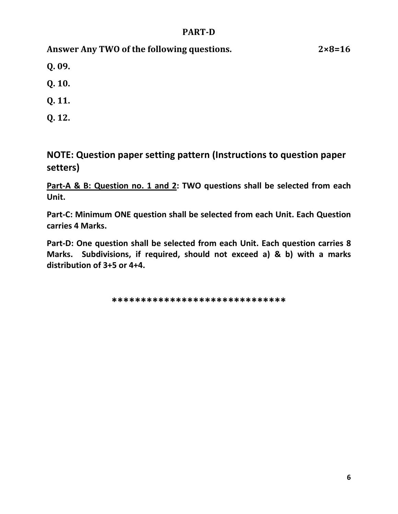## PART-D

Answer Any TWO of the following questions. 2×8=16

Q. 09.

Q. 10.

Q. 11.

Q. 12.

NOTE: Question paper setting pattern (Instructions to question paper setters)

Part-A & B: Question no. 1 and 2: TWO questions shall be selected from each Unit.

Part-C: Minimum ONE question shall be selected from each Unit. Each Question carries 4 Marks.

Part-D: One question shall be selected from each Unit. Each question carries 8 Marks. Subdivisions, if required, should not exceed a) & b) with a marks distribution of 3+5 or 4+4.

\*\*\*\*\*\*\*\*\*\*\*\*\*\*\*\*\*\*\*\*\*\*\*\*\*\*\*\*\*\*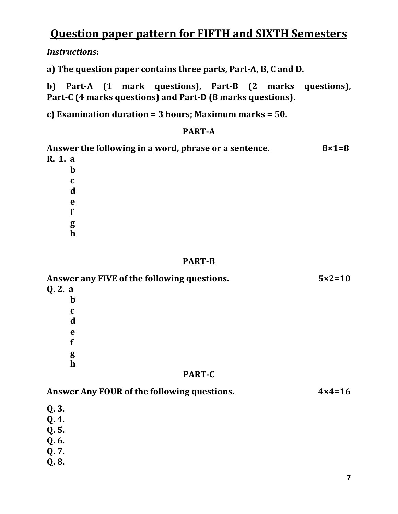# Question paper pattern for FIFTH and SIXTH Semesters

Instructions:

a) The question paper contains three parts, Part-A, B, C and D.

b) Part-A (1 mark questions), Part-B (2 marks questions), Part-C (4 marks questions) and Part-D (8 marks questions).

c) Examination duration = 3 hours; Maximum marks = 50.

## PART-A

| Answer the following in a word, phrase or a sentence. | $8\times1=8$ |
|-------------------------------------------------------|--------------|
| R. 1. a                                               |              |
| $\mathbf b$                                           |              |
| C                                                     |              |
| d                                                     |              |
| e                                                     |              |
|                                                       |              |
| g                                                     |              |
| $\mathbf h$                                           |              |
|                                                       |              |

## PART-B

| Answer any FIVE of the following questions. | $5 \times 2 = 10$ |
|---------------------------------------------|-------------------|
| Q. 2. a                                     |                   |
| $\mathbf b$                                 |                   |
| $\mathbf c$                                 |                   |
| d                                           |                   |
| e                                           |                   |
|                                             |                   |
| g                                           |                   |
| $\mathbf h$                                 |                   |
| <b>PART-C</b>                               |                   |

| Answer Any FOUR of the following questions. | $4 \times 4 = 16$ |
|---------------------------------------------|-------------------|
| Q.3.                                        |                   |
| Q.4.                                        |                   |
| Q. 5.                                       |                   |
| Q. 6.                                       |                   |
| Q. 7.                                       |                   |
| Q.8.                                        |                   |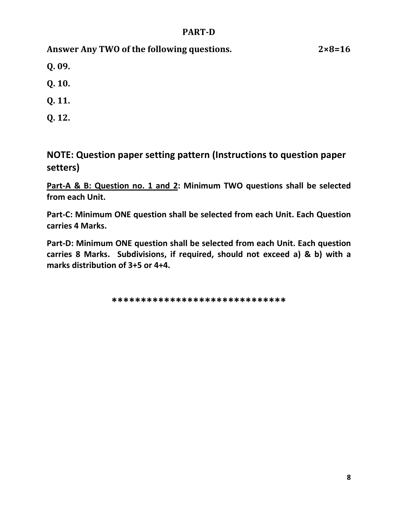## PART-D

Answer Any TWO of the following questions. 2×8=16

Q. 09.

Q. 10.

Q. 11.

Q. 12.

NOTE: Question paper setting pattern (Instructions to question paper setters)

Part-A & B: Question no. 1 and 2: Minimum TWO questions shall be selected from each Unit.

Part-C: Minimum ONE question shall be selected from each Unit. Each Question carries 4 Marks.

Part-D: Minimum ONE question shall be selected from each Unit. Each question carries 8 Marks. Subdivisions, if required, should not exceed a) & b) with a marks distribution of 3+5 or 4+4.

\*\*\*\*\*\*\*\*\*\*\*\*\*\*\*\*\*\*\*\*\*\*\*\*\*\*\*\*\*\*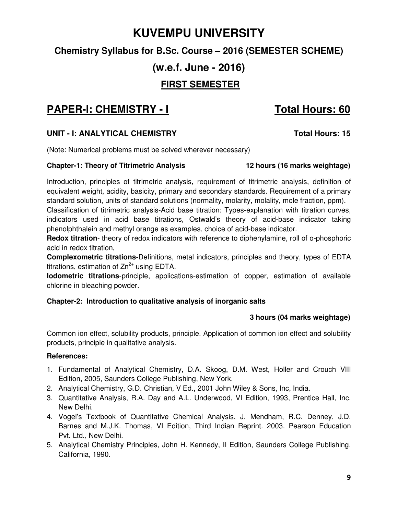# **KUVEMPU UNIVERSITY**

## **Chemistry Syllabus for B.Sc. Course – 2016 (SEMESTER SCHEME)**

# **(w.e.f. June - 2016)**

## **FIRST SEMESTER**

# **PAPER-I: CHEMISTRY - I Total Hours: 60**

## UNIT - I: ANALYTICAL CHEMISTRY **The CHANGE OF STATE CONSTRANT CONSTRANT CONSTRANT Total Hours: 15**

(Note: Numerical problems must be solved wherever necessary)

### **Chapter-1: Theory of Titrimetric Analysis 12 hours (16 marks weightage)**

Introduction, principles of titrimetric analysis, requirement of titrimetric analysis, definition of equivalent weight, acidity, basicity, primary and secondary standards. Requirement of a primary standard solution, units of standard solutions (normality, molarity, molality, mole fraction, ppm).

Classification of titrimetric analysis-Acid base titration: Types-explanation with titration curves, indicators used in acid base titrations, Ostwald's theory of acid-base indicator taking phenolphthalein and methyl orange as examples, choice of acid-base indicator.

**Redox titration**- theory of redox indicators with reference to diphenylamine, roll of o-phosphoric acid in redox titration,

**Complexometric titrations**-Definitions, metal indicators, principles and theory, types of EDTA titrations, estimation of  $Zn^{2+}$  using EDTA.

**Iodometric titrations**-principle, applications-estimation of copper, estimation of available chlorine in bleaching powder.

## **Chapter-2: Introduction to qualitative analysis of inorganic salts**

## **3 hours (04 marks weightage)**

Common ion effect, solubility products, principle. Application of common ion effect and solubility products, principle in qualitative analysis.

- 1. Fundamental of Analytical Chemistry, D.A. Skoog, D.M. West, Holler and Crouch VIII Edition, 2005, Saunders College Publishing, New York.
- 2. Analytical Chemistry, G.D. Christian, V Ed., 2001 John Wiley & Sons, Inc, India.
- 3. Quantitative Analysis, R.A. Day and A.L. Underwood, VI Edition, 1993, Prentice Hall, Inc. New Delhi.
- 4. Vogel's Textbook of Quantitative Chemical Analysis, J. Mendham, R.C. Denney, J.D. Barnes and M.J.K. Thomas, VI Edition, Third Indian Reprint. 2003. Pearson Education Pvt. Ltd., New Delhi.
- 5. Analytical Chemistry Principles, John H. Kennedy, II Edition, Saunders College Publishing, California, 1990.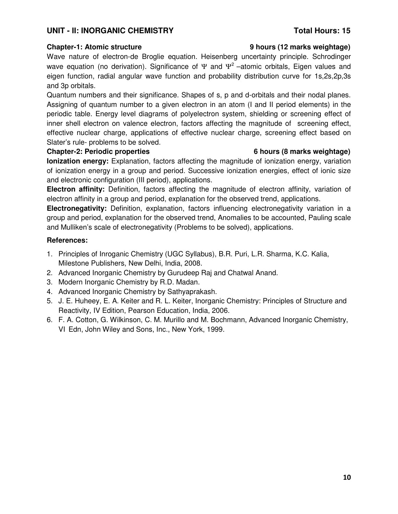### UNIT - II: INORGANIC CHEMISTRY **Total Hours: 15**

Wave nature of electron-de Broglie equation. Heisenberg uncertainty principle. Schrodinger wave equation (no derivation). Significance of  $\Psi$  and  $\Psi^2$  –atomic orbitals, Eigen values and eigen function, radial angular wave function and probability distribution curve for 1s,2s,2p,3s and 3p orbitals.

Quantum numbers and their significance. Shapes of s, p and d-orbitals and their nodal planes. Assigning of quantum number to a given electron in an atom (I and II period elements) in the periodic table. Energy level diagrams of polyelectron system, shielding or screening effect of inner shell electron on valence electron, factors affecting the magnitude of screening effect, effective nuclear charge, applications of effective nuclear charge, screening effect based on Slater's rule- problems to be solved.

### **Chapter-2: Periodic properties 6 hours (8 marks weightage)**

**Ionization energy:** Explanation, factors affecting the magnitude of ionization energy, variation of ionization energy in a group and period. Successive ionization energies, effect of ionic size and electronic configuration (III period), applications.

**Electron affinity:** Definition, factors affecting the magnitude of electron affinity, variation of electron affinity in a group and period, explanation for the observed trend, applications.

**Electronegativity:** Definition, explanation, factors influencing electronegativity variation in a group and period, explanation for the observed trend, Anomalies to be accounted, Pauling scale and Mulliken's scale of electronegativity (Problems to be solved), applications.

### **References:**

- 1. Principles of Inroganic Chemistry (UGC Syllabus), B.R. Puri, L.R. Sharma, K.C. Kalia, Milestone Publishers, New Delhi, India, 2008.
- 2. Advanced Inorganic Chemistry by Gurudeep Raj and Chatwal Anand.
- 3. Modern Inorganic Chemistry by R.D. Madan.
- 4. Advanced Inorganic Chemistry by Sathyaprakash.
- 5. J. E. Huheey, E. A. Keiter and R. L. Keiter, Inorganic Chemistry: Principles of Structure and Reactivity, IV Edition, Pearson Education, India, 2006.
- 6. F. A. Cotton, G. Wilkinson, C. M. Murillo and M. Bochmann, Advanced Inorganic Chemistry, VI Edn, John Wiley and Sons, Inc., New York, 1999.

### **Chapter-1: Atomic structure 9 hours (12 marks weightage)**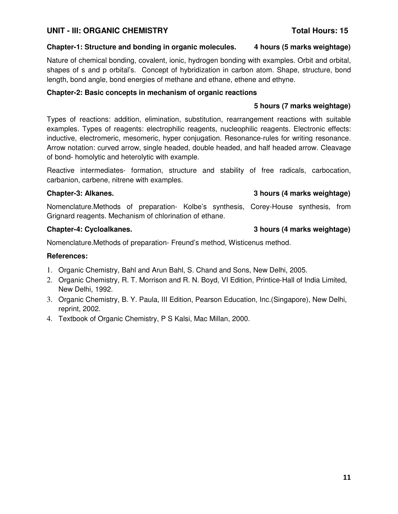## **UNIT - III: ORGANIC CHEMISTRY Total Hours: 15**

## **Chapter-1: Structure and bonding in organic molecules. 4 hours (5 marks weightage)**

Nature of chemical bonding, covalent, ionic, hydrogen bonding with examples. Orbit and orbital, shapes of s and p orbital's. Concept of hybridization in carbon atom. Shape, structure, bond length, bond angle, bond energies of methane and ethane, ethene and ethyne.

## **Chapter-2: Basic concepts in mechanism of organic reactions**

## **5 hours (7 marks weightage)**

Types of reactions: addition, elimination, substitution, rearrangement reactions with suitable examples. Types of reagents: electrophilic reagents, nucleophilic reagents. Electronic effects: inductive, electromeric, mesomeric, hyper conjugation. Resonance-rules for writing resonance. Arrow notation: curved arrow, single headed, double headed, and half headed arrow. Cleavage of bond- homolytic and heterolytic with example.

Reactive intermediates- formation, structure and stability of free radicals, carbocation, carbanion, carbene, nitrene with examples.

## **Chapter-3: Alkanes. 3 hours (4 marks weightage)**

Nomenclature.Methods of preparation- Kolbe's synthesis, Corey-House synthesis, from Grignard reagents. Mechanism of chlorination of ethane.

Nomenclature.Methods of preparation- Freund's method, Wisticenus method.

## **References:**

- 1. Organic Chemistry, Bahl and Arun Bahl, S. Chand and Sons, New Delhi, 2005.
- 2. Organic Chemistry, R. T. Morrison and R. N. Boyd, VI Edition, Printice-Hall of India Limited, New Delhi, 1992.
- 3. Organic Chemistry, B. Y. Paula, III Edition, Pearson Education, Inc.(Singapore), New Delhi, reprint, 2002.
- 4. Textbook of Organic Chemistry, P S Kalsi, Mac Millan, 2000.

## **Chapter-4: Cycloalkanes. 3 hours (4 marks weightage)**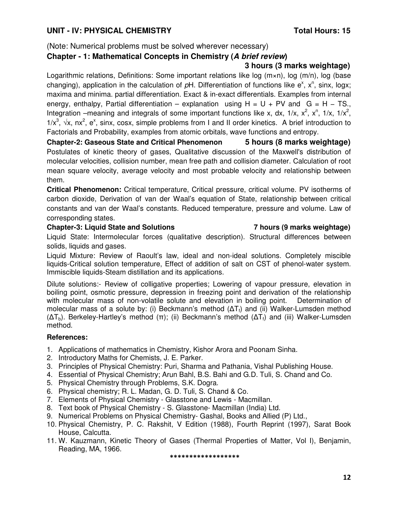(Note: Numerical problems must be solved wherever necessary)

## **Chapter - 1: Mathematical Concepts in Chemistry (A brief review)**

## **3 hours (3 marks weightage)**

Logarithmic relations, Definitions: Some important relations like log (m×n), log (m/n), log (base changing), application in the calculation of  $pH$ . Differentiation of functions like  $e^x$ ,  $x^n$ , sinx, logx; maxima and minima. partial differentiation. Exact & in-exact differentials. Examples from internal energy, enthalpy, Partial differentiation – explanation using  $H = U + PV$  and  $G = H - TS$ . Integration –meaning and integrals of some important functions like x, dx, 1/x,  $x^2$ ,  $x^n$ , 1/x, 1/ $x^2$ ,  $1/x^3$ ,  $\sqrt{x}$ ,  $nx^2$ ,  $e^x$ , sinx, cosx, simple problems from I and II order kinetics. A brief introduction to Factorials and Probability, examples from atomic orbitals, wave functions and entropy.

**Chapter-2: Gaseous State and Critical Phenomenon 5 hours (8 marks weightage)** Postulates of kinetic theory of gases, Qualitative discussion of the Maxwell's distribution of molecular velocities, collision number, mean free path and collision diameter. Calculation of root mean square velocity, average velocity and most probable velocity and relationship between them.

**Critical Phenomenon:** Critical temperature, Critical pressure, critical volume. PV isotherms of carbon dioxide, Derivation of van der Waal's equation of State, relationship between critical constants and van der Waal's constants. Reduced temperature, pressure and volume. Law of corresponding states.

### **Chapter-3: Liquid State and Solutions 7 hours (9 marks weightage)**

Liquid State: Intermolecular forces (qualitative description). Structural differences between solids, liquids and gases.

Liquid Mixture: Review of Raoult's law, ideal and non-ideal solutions. Completely miscible liquids-Critical solution temperature, Effect of addition of salt on CST of phenol-water system. Immiscible liquids-Steam distillation and its applications.

Dilute solutions:- Review of colligative properties; Lowering of vapour pressure, elevation in boiling point, osmotic pressure, depression in freezing point and derivation of the relationship with molecular mass of non-volatile solute and elevation in boiling point. Determination of molecular mass of a solute by: (i) Beckmann's method  $(\Delta T_f)$  and (ii) Walker-Lumsden method  $(ΔT<sub>b</sub>)$ . Berkeley-Hartley's method  $(π)$ ; (ii) Beckmann's method  $(ΔT<sub>f</sub>)$  and (iii) Walker-Lumsden method.

## **References:**

- 1. Applications of mathematics in Chemistry, Kishor Arora and Poonam Sinha.
- 2. Introductory Maths for Chemists, J. E. Parker.
- 3. Principles of Physical Chemistry: Puri, Sharma and Pathania, Vishal Publishing House.
- 4. Essential of Physical Chemistry; Arun Bahl, B.S. Bahi and G.D. Tuli, S. Chand and Co.
- 5. Physical Chemistry through Problems, S.K. Dogra.
- 6. Physical chemistry; R. L. Madan, G. D. Tuli, S. Chand & Co.
- 7. Elements of Physical Chemistry Glasstone and Lewis Macmillan.
- 8. Text book of Physical Chemistry S. Glasstone- Macmillan (India) Ltd.
- 9. Numerical Problems on Physical Chemistry- Gashal, Books and Allied (P) Ltd.,
- 10. Physical Chemistry, P. C. Rakshit, V Edition (1988), Fourth Reprint (1997), Sarat Book House, Calcutta.
- 11. W. Kauzmann, Kinetic Theory of Gases (Thermal Properties of Matter, Vol I), Benjamin, Reading, MA, 1966.

\*\*\*\*\*\*\*\*\*\*\*\*\*\*\*\*\*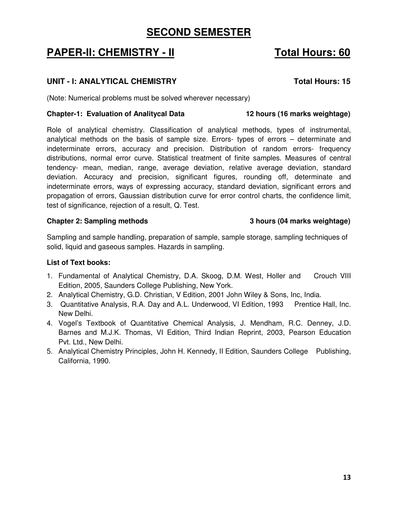## **SECOND SEMESTER**

# **PAPER-II: CHEMISTRY - II** Total Hours: 60

## UNIT - I: ANALYTICAL CHEMISTRY **The CHANGE OF STATE CONSTRUS**

(Note: Numerical problems must be solved wherever necessary)

### **Chapter-1: Evaluation of Analitycal Data 12 hours (16 marks weightage)**

Role of analytical chemistry. Classification of analytical methods, types of instrumental, analytical methods on the basis of sample size. Errors- types of errors – determinate and indeterminate errors, accuracy and precision. Distribution of random errors- frequency distributions, normal error curve. Statistical treatment of finite samples. Measures of central tendency- mean, median, range, average deviation, relative average deviation, standard deviation. Accuracy and precision, significant figures, rounding off, determinate and indeterminate errors, ways of expressing accuracy, standard deviation, significant errors and propagation of errors, Gaussian distribution curve for error control charts, the confidence limit, test of significance, rejection of a result, Q. Test.

### **Chapter 2: Sampling methods 3 hours (04 marks weightage)**

Sampling and sample handling, preparation of sample, sample storage, sampling techniques of solid, liquid and gaseous samples. Hazards in sampling.

## **List of Text books:**

- 1. Fundamental of Analytical Chemistry, D.A. Skoog, D.M. West, Holler and Crouch VIII Edition, 2005, Saunders College Publishing, New York.
- 2. Analytical Chemistry, G.D. Christian, V Edition, 2001 John Wiley & Sons, Inc, India.
- 3. Quantitative Analysis, R.A. Day and A.L. Underwood, VI Edition, 1993 Prentice Hall, Inc. New Delhi.
- 4. Vogel's Textbook of Quantitative Chemical Analysis, J. Mendham, R.C. Denney, J.D. Barnes and M.J.K. Thomas, VI Edition, Third Indian Reprint, 2003, Pearson Education Pvt. Ltd., New Delhi.
- 5. Analytical Chemistry Principles, John H. Kennedy, II Edition, Saunders College Publishing, California, 1990.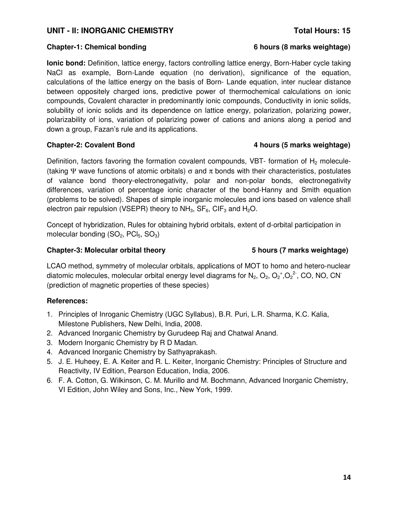### UNIT - II: INORGANIC CHEMISTRY **Total Hours: 15**

### **Chapter-1: Chemical bonding 6 hours (8 marks weightage)**

**Ionic bond:** Definition, lattice energy, factors controlling lattice energy, Born-Haber cycle taking NaCl as example, Born-Lande equation (no derivation), significance of the equation, calculations of the lattice energy on the basis of Born- Lande equation, inter nuclear distance between oppositely charged ions, predictive power of thermochemical calculations on ionic compounds, Covalent character in predominantly ionic compounds, Conductivity in ionic solids, solubility of ionic solids and its dependence on lattice energy, polarization, polarizing power, polarizability of ions, variation of polarizing power of cations and anions along a period and down a group, Fazan's rule and its applications.

Definition, factors favoring the formation covalent compounds, VBT- formation of  $H_2$  molecule-(taking Ψ wave functions of atomic orbitals)  $\sigma$  and  $\pi$  bonds with their characteristics, postulates of valance bond theory-electronegativity, polar and non-polar bonds, electronegativity differences, variation of percentage ionic character of the bond-Hanny and Smith equation (problems to be solved). Shapes of simple inorganic molecules and ions based on valence shall electron pair repulsion (VSEPR) theory to  $NH_3$ ,  $SF_6$ ,  $CIF_3$  and  $H_2O$ .

Concept of hybridization, Rules for obtaining hybrid orbitals, extent of d-orbital participation in molecular bonding  $(SO_2, PCl_5, SO_3)$ 

### **Chapter-3: Molecular orbital theory 5 hours (7 marks weightage)**

LCAO method, symmetry of molecular orbitals, applications of MOT to homo and hetero-nuclear diatomic molecules, molecular orbital energy level diagrams for  $N_2$ ,  $O_2$ ,  $O_2^*$ ,  $O_2^2$ <sup>-</sup>, CO, NO, CN<sup>-</sup> (prediction of magnetic properties of these species)

## **References:**

- 1. Principles of Inroganic Chemistry (UGC Syllabus), B.R. Puri, L.R. Sharma, K.C. Kalia, Milestone Publishers, New Delhi, India, 2008.
- 2. Advanced Inorganic Chemistry by Gurudeep Raj and Chatwal Anand.
- 3. Modern Inorganic Chemistry by R D Madan.
- 4. Advanced Inorganic Chemistry by Sathyaprakash.
- 5. J. E. Huheey, E. A. Keiter and R. L. Keiter, Inorganic Chemistry: Principles of Structure and Reactivity, IV Edition, Pearson Education, India, 2006.
- 6. F. A. Cotton, G. Wilkinson, C. M. Murillo and M. Bochmann, Advanced Inorganic Chemistry, VI Edition, John Wiley and Sons, Inc., New York, 1999.

### **Chapter-2: Covalent Bond 4 hours (5 marks weightage)**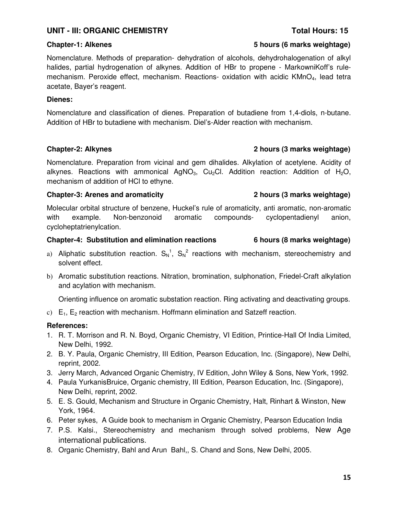## **UNIT - III: ORGANIC CHEMISTRY Total Hours: 15**

Nomenclature. Methods of preparation- dehydration of alcohols, dehydrohalogenation of alkyl halides, partial hydrogenation of alkynes. Addition of HBr to propene - MarkowniKoff's rulemechanism. Peroxide effect, mechanism. Reactions- oxidation with acidic KMnO<sub>4</sub>, lead tetra acetate, Bayer's reagent.

### **Dienes:**

Nomenclature and classification of dienes. Preparation of butadiene from 1,4-diols, n-butane. Addition of HBr to butadiene with mechanism. Diel's-Alder reaction with mechanism.

Nomenclature. Preparation from vicinal and gem dihalides. Alkylation of acetylene. Acidity of alkynes. Reactions with ammonical AgNO<sub>3</sub>, Cu<sub>2</sub>Cl. Addition reaction: Addition of H<sub>2</sub>O, mechanism of addition of HCl to ethyne.

### **Chapter-3: Arenes and aromaticity 2 hours (3 marks weightage)**

Molecular orbital structure of benzene, Huckel's rule of aromaticity, anti aromatic, non-aromatic with example. Non-benzonoid aromatic compounds- cyclopentadienyl anion, cycloheptatrienylcation.

### **Chapter-4: Substitution and elimination reactions 6 hours (8 marks weightage)**

- a) Aliphatic substitution reaction.  $S_N^1$ ,  $S_N^2$  reactions with mechanism, stereochemistry and solvent effect.
- b) Aromatic substitution reactions. Nitration, bromination, sulphonation, Friedel-Craft alkylation and acylation with mechanism.

Orienting influence on aromatic substation reaction. Ring activating and deactivating groups.

c)  $E_1$ ,  $E_2$  reaction with mechanism. Hoffmann elimination and Satzeff reaction.

### **References:**

- 1. R. T. Morrison and R. N. Boyd, Organic Chemistry, VI Edition, Printice-Hall Of India Limited, New Delhi, 1992.
- 2. B. Y. Paula, Organic Chemistry, III Edition, Pearson Education, Inc. (Singapore), New Delhi, reprint, 2002.
- 3. Jerry March, Advanced Organic Chemistry, IV Edition, John Wiley & Sons, New York, 1992.
- 4. Paula YurkanisBruice, Organic chemistry, III Edition, Pearson Education, Inc. (Singapore), New Delhi, reprint, 2002.
- 5. E. S. Gould, Mechanism and Structure in Organic Chemistry, Halt, Rinhart & Winston, New York, 1964.
- 6. Peter sykes, A Guide book to mechanism in Organic Chemistry, Pearson Education India
- 7. P.S. Kalsi., Stereochemistry and mechanism through solved problems, New Age international publications.
- 8. Organic Chemistry, Bahl and Arun Bahl,, S. Chand and Sons, New Delhi, 2005.

### **Chapter-1: Alkenes 5 hours (6 marks weightage)**

## **Chapter-2: Alkynes 2 hours (3 marks weightage)**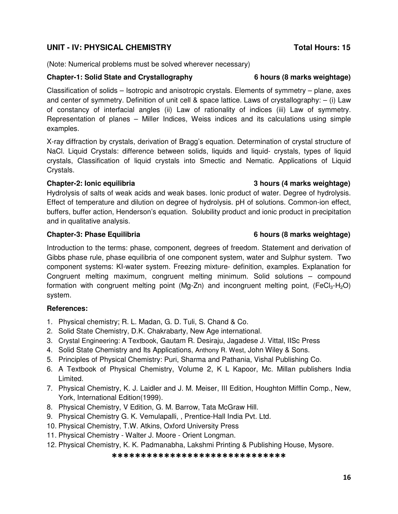## **UNIT - IV: PHYSICAL CHEMISTRY Total Hours: 15**

(Note: Numerical problems must be solved wherever necessary)

### **Chapter-1: Solid State and Crystallography 6 hours (8 marks weightage)**

Classification of solids – Isotropic and anisotropic crystals. Elements of symmetry – plane, axes and center of symmetry. Definition of unit cell & space lattice. Laws of crystallography:  $-$  (i) Law of constancy of interfacial angles (ii) Law of rationality of indices (iii) Law of symmetry. Representation of planes – Miller Indices, Weiss indices and its calculations using simple examples.

X-ray diffraction by crystals, derivation of Bragg's equation. Determination of crystal structure of NaCl. Liquid Crystals: difference between solids, liquids and liquid- crystals, types of liquid crystals, Classification of liquid crystals into Smectic and Nematic. Applications of Liquid Crystals.

### **Chapter-2: Ionic equilibria 3 hours (4 marks weightage)**

Hydrolysis of salts of weak acids and weak bases. Ionic product of water. Degree of hydrolysis. Effect of temperature and dilution on degree of hydrolysis. pH of solutions. Common-ion effect, buffers, buffer action, Henderson's equation. Solubility product and ionic product in precipitation and in qualitative analysis.

Introduction to the terms: phase, component, degrees of freedom. Statement and derivation of Gibbs phase rule, phase equilibria of one component system, water and Sulphur system. Two component systems: KI-water system. Freezing mixture- definition, examples. Explanation for Congruent melting maximum, congruent melting minimum. Solid solutions – compound formation with congruent melting point (Mg-Zn) and incongruent melting point, (FeCl<sub>3</sub>-H<sub>2</sub>O) system.

## **References:**

- 1. Physical chemistry; R. L. Madan, G. D. Tuli, S. Chand & Co.
- 2. Solid State Chemistry, D.K. Chakrabarty, New Age international.
- 3. Crystal Engineering: A Textbook, Gautam R. Desiraju, Jagadese J. Vittal, IISc Press
- 4. Solid State Chemistry and Its Applications, Anthony R. West, John Wiley & Sons.
- 5. Principles of Physical Chemistry: Puri, Sharma and Pathania, Vishal Publishing Co.
- 6. A Textbook of Physical Chemistry, Volume 2, K L Kapoor, Mc. Millan publishers India Limited.
- 7. Physical Chemistry, K. J. Laidler and J. M. Meiser, III Edition, Houghton Mifflin Comp., New, York, International Edition(1999).
- 8. Physical Chemistry, V Edition, G. M. Barrow, Tata McGraw Hill.
- 9. Physical Chemistry G. K. Vemulapalli, , Prentice-Hall India Pvt. Ltd.
- 10. Physical Chemistry, T.W. Atkins, Oxford University Press
- 11. Physical Chemistry Walter J. Moore Orient Longman.
- 12. Physical Chemistry, K. K. Padmanabha, Lakshmi Printing & Publishing House, Mysore.

### \*\*\*\*\*\*\*\*\*\*\*\*\*\*\*\*\*\*\*\*\*\*\*\*\*\*\*\*\*\*

### **Chapter-3: Phase Equilibria 6 hours (8 marks weightage)**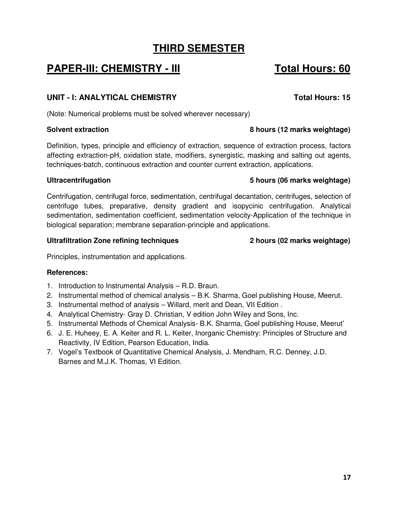# **THIRD SEMESTER**

# **PAPER-III: CHEMISTRY - III** Total Hours: 60

## **UNIT - I: ANALYTICAL CHEMISTRY Total Hours: 15**

(Note: Numerical problems must be solved wherever necessary)

Definition, types, principle and efficiency of extraction, sequence of extraction process, factors affecting extraction-pH, oxidation state, modifiers, synergistic, masking and salting out agents, techniques-batch, continuous extraction and counter current extraction, applications.

## **Ultracentrifugation 5 hours (06 marks weightage)**

Centrifugation, centrifugal force, sedimentation, centrifugal decantation, centrifuges, selection of centrifuge tubes, preparative, density gradient and isopycinic centrifugation. Analytical sedimentation, sedimentation coefficient, sedimentation velocity-Application of the technique in biological separation; membrane separation-principle and applications.

## **Ultrafiltration Zone refining techniques 2 hours (02 marks weightage)**

Principles, instrumentation and applications.

## **References:**

- 1. Introduction to Instrumental Analysis R.D. Braun.
- 2. Instrumental method of chemical analysis B.K. Sharma, Goel publishing House, Meerut.
- 3. Instrumental method of analysis Willard, merit and Dean, VII Edition .
- 4. Analytical Chemistry- Gray D. Christian, V edition John Wiley and Sons, Inc.
- 5. Instrumental Methods of Chemical Analysis- B.K. Sharma, Goel publishing House, Meerut'
- 6. J. E. Huheey, E. A. Keiter and R. L. Keiter, Inorganic Chemistry: Principles of Structure and Reactivity, IV Edition, Pearson Education, India.
- 7. Vogel's Textbook of Quantitative Chemical Analysis, J. Mendham, R.C. Denney, J.D. Barnes and M.J.K. Thomas, VI Edition.

## **Solvent extraction 8 hours (12 marks weightage)**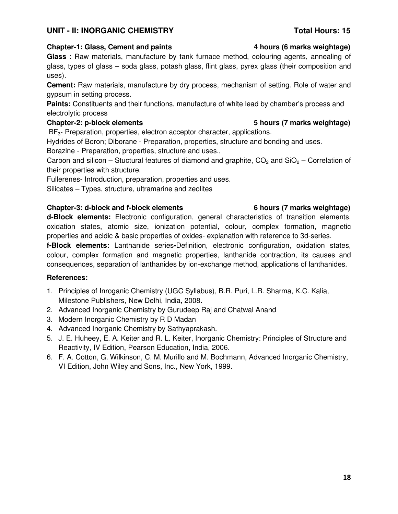18

## UNIT - II: INORGANIC CHEMISTRY **Total Hours: 15**

**Glass** : Raw materials, manufacture by tank furnace method, colouring agents, annealing of glass, types of glass – soda glass, potash glass, flint glass, pyrex glass (their composition and uses).

**Cement:** Raw materials, manufacture by dry process, mechanism of setting. Role of water and gypsum in setting process.

**Paints:** Constituents and their functions, manufacture of white lead by chamber's process and electrolytic process

## **Chapter-2: p-block elements 5 hours (7 marks weightage)**

BF<sub>3</sub>- Preparation, properties, electron acceptor character, applications.

Hydrides of Boron; Diborane - Preparation, properties, structure and bonding and uses.

Borazine - Preparation, properties, structure and uses.,

Carbon and silicon – Stuctural features of diamond and graphite,  $CO<sub>2</sub>$  and  $SiO<sub>2</sub>$  – Correlation of their properties with structure.

Fullerenes- Introduction, preparation, properties and uses.

Silicates – Types, structure, ultramarine and zeolites

## **Chapter-3: d-block and f-block elements 6 hours (7 marks weightage)**

**d-Block elements:** Electronic configuration, general characteristics of transition elements, oxidation states, atomic size, ionization potential, colour, complex formation, magnetic properties and acidic & basic properties of oxides- explanation with reference to 3d-series.

**f-Block elements:** Lanthanide series**-**Definition, electronic configuration, oxidation states, colour, complex formation and magnetic properties, lanthanide contraction, its causes and consequences, separation of lanthanides by ion-exchange method, applications of lanthanides.

## **References:**

- 1. Principles of Inroganic Chemistry (UGC Syllabus), B.R. Puri, L.R. Sharma, K.C. Kalia, Milestone Publishers, New Delhi, India, 2008.
- 2. Advanced Inorganic Chemistry by Gurudeep Raj and Chatwal Anand
- 3. Modern Inorganic Chemistry by R D Madan
- 4. Advanced Inorganic Chemistry by Sathyaprakash.
- 5. J. E. Huheey, E. A. Keiter and R. L. Keiter, Inorganic Chemistry: Principles of Structure and Reactivity, IV Edition, Pearson Education, India, 2006.
- 6. F. A. Cotton, G. Wilkinson, C. M. Murillo and M. Bochmann, Advanced Inorganic Chemistry, VI Edition, John Wiley and Sons, Inc., New York, 1999.

## **Chapter-1: Glass, Cement and paints 4 hours (6 marks weightage)**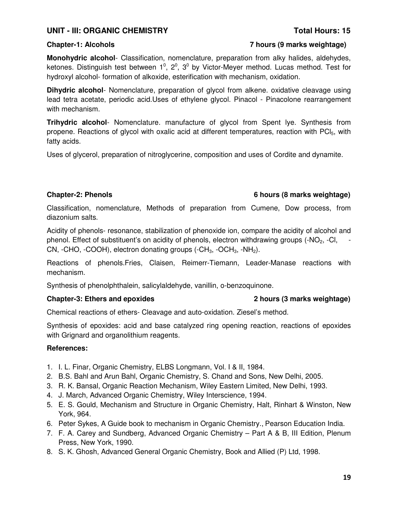## **UNIT - III: ORGANIC CHEMISTRY Total Hours: 15**

### **Chapter-1: Alcohols 7 hours (9 marks weightage)**

**Monohydric alcohol**- Classification, nomenclature, preparation from alky halides, aldehydes, ketones. Distinguish test between  $1^0$ ,  $2^0$ ,  $3^0$  by Victor-Meyer method. Lucas method. Test for hydroxyl alcohol- formation of alkoxide, esterification with mechanism, oxidation.

**Dihydric alcohol**- Nomenclature, preparation of glycol from alkene. oxidative cleavage using lead tetra acetate, periodic acid.Uses of ethylene glycol. Pinacol - Pinacolone rearrangement with mechanism.

**Trihydric alcohol**- Nomenclature. manufacture of glycol from Spent lye. Synthesis from propene. Reactions of glycol with oxalic acid at different temperatures, reaction with PCI<sub>5</sub>, with fatty acids.

Uses of glycerol, preparation of nitroglycerine, composition and uses of Cordite and dynamite.

### **Chapter-2: Phenols 6 hours (8 marks weightage)**

Classification, nomenclature, Methods of preparation from Cumene, Dow process, from diazonium salts.

Acidity of phenols- resonance, stabilization of phenoxide ion, compare the acidity of alcohol and phenol. Effect of substituent's on acidity of phenols, electron withdrawing groups (-NO2, -Cl, - CN, -CHO, -COOH), electron donating groups  $(-CH_3, -OCH_3, -NH_2)$ .

Reactions of phenols.Fries, Claisen, Reimerr-Tiemann, Leader-Manase reactions with mechanism.

Synthesis of phenolphthalein, salicylaldehyde, vanillin, o-benzoquinone.

## **Chapter-3: Ethers and epoxides 2 hours (3 marks weightage)**

Chemical reactions of ethers- Cleavage and auto-oxidation. Ziesel's method.

Synthesis of epoxides: acid and base catalyzed ring opening reaction, reactions of epoxides with Grignard and organolithium reagents.

- 1. I. L. Finar, Organic Chemistry, ELBS Longmann, Vol. I & II, 1984.
- 2. B.S. Bahl and Arun Bahl, Organic Chemistry, S. Chand and Sons, New Delhi, 2005.
- 3. R. K. Bansal, Organic Reaction Mechanism, Wiley Eastern Limited, New Delhi, 1993.
- 4. J. March, Advanced Organic Chemistry, Wiley Interscience, 1994.
- 5. E. S. Gould, Mechanism and Structure in Organic Chemistry, Halt, Rinhart & Winston, New York, 964.
- 6. Peter Sykes, A Guide book to mechanism in Organic Chemistry., Pearson Education India.
- 7. F. A. Carey and Sundberg, Advanced Organic Chemistry Part A & B, III Edition, Plenum Press, New York, 1990.
- 8. S. K. Ghosh, Advanced General Organic Chemistry, Book and Allied (P) Ltd, 1998.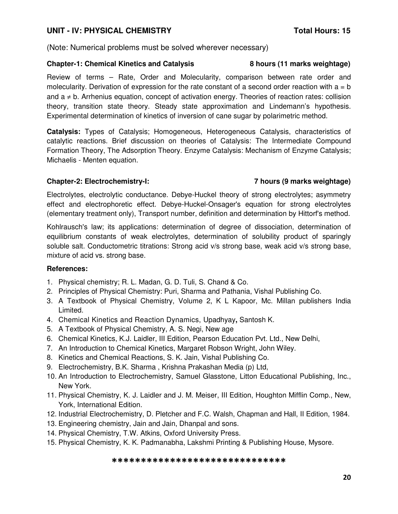## UNIT - IV: PHYSICAL CHEMISTRY **Total Hours: 15**

(Note: Numerical problems must be solved wherever necessary)

### **Chapter-1: Chemical Kinetics and Catalysis 8 hours (11 marks weightage)**

Review of terms – Rate, Order and Molecularity, comparison between rate order and molecularity. Derivation of expression for the rate constant of a second order reaction with  $a = b$ and  $a \neq b$ . Arrhenius equation, concept of activation energy. Theories of reaction rates: collision theory, transition state theory. Steady state approximation and Lindemann's hypothesis. Experimental determination of kinetics of inversion of cane sugar by polarimetric method.

**Catalysis:** Types of Catalysis; Homogeneous, Heterogeneous Catalysis, characteristics of catalytic reactions. Brief discussion on theories of Catalysis: The Intermediate Compound Formation Theory, The Adsorption Theory. Enzyme Catalysis: Mechanism of Enzyme Catalysis; Michaelis - Menten equation.

### **Chapter-2: Electrochemistry-I: 7 hours (9 marks weightage)**

Electrolytes, electrolytic conductance. Debye-Huckel theory of strong electrolytes; asymmetry effect and electrophoretic effect. Debye-Huckel-Onsager's equation for strong electrolytes (elementary treatment only), Transport number, definition and determination by Hittorf's method.

Kohlrausch's law; its applications: determination of degree of dissociation, determination of equilibrium constants of weak electrolytes, determination of solubility product of sparingly soluble salt. Conductometric titrations: Strong acid v/s strong base, weak acid v/s strong base, mixture of acid vs. strong base.

## **References:**

- 1. Physical chemistry; R. L. Madan, G. D. Tuli, S. Chand & Co.
- 2. Principles of Physical Chemistry: Puri, Sharma and Pathania, Vishal Publishing Co.
- 3. A Textbook of Physical Chemistry, Volume 2, K L Kapoor, Mc. Millan publishers India Limited.
- 4. Chemical Kinetics and Reaction Dynamics, Upadhyay**,** Santosh K.
- 5. A Textbook of Physical Chemistry, A. S. Negi, New age
- 6. Chemical Kinetics, K.J. Laidler, III Edition, Pearson Education Pvt. Ltd., New Delhi,
- 7. An Introduction to Chemical Kinetics, Margaret Robson Wright, John Wiley.
- 8. Kinetics and Chemical Reactions, S. K. Jain, Vishal Publishing Co.
- 9. Electrochemistry, B.K. Sharma , Krishna Prakashan Media (p) Ltd,
- 10. An Introduction to Electrochemistry, Samuel Glasstone, Litton Educational Publishing, Inc., New York.
- 11. Physical Chemistry, K. J. Laidler and J. M. Meiser, III Edition, Houghton Mifflin Comp., New, York, International Edition.
- 12. Industrial Electrochemistry, D. Pletcher and F.C. Walsh, Chapman and Hall, II Edition, 1984.
- 13. Engineering chemistry, Jain and Jain, Dhanpal and sons.
- 14. Physical Chemistry, T.W. Atkins, Oxford University Press.
- 15. Physical Chemistry, K. K. Padmanabha, Lakshmi Printing & Publishing House, Mysore.

### \*\*\*\*\*\*\*\*\*\*\*\*\*\*\*\*\*\*\*\*\*\*\*\*\*\*\*\*\*\*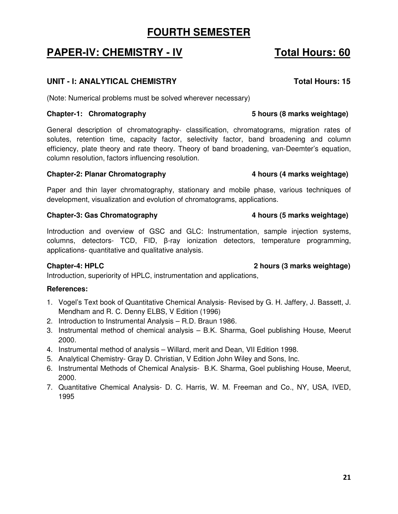# **FOURTH SEMESTER**

# **PAPER-IV: CHEMISTRY - IV Total Hours: 60**

## UNIT - I: ANALYTICAL CHEMISTRY **The CHANGE OF STATE CONSTRUS**

(Note: Numerical problems must be solved wherever necessary)

## **Chapter-1: Chromatography 5 hours (8 marks weightage)**

General description of chromatography- classification, chromatograms, migration rates of solutes, retention time, capacity factor, selectivity factor, band broadening and column efficiency, plate theory and rate theory. Theory of band broadening, van-Deemter's equation, column resolution, factors influencing resolution.

## **Chapter-2: Planar Chromatography 4 hours (4 marks weightage)**

Paper and thin layer chromatography, stationary and mobile phase, various techniques of development, visualization and evolution of chromatograms, applications.

## **Chapter-3: Gas Chromatography 4 hours (5 marks weightage)**

Introduction and overview of GSC and GLC: Instrumentation, sample injection systems, columns, detectors- TCD, FID, β-ray ionization detectors, temperature programming, applications- quantitative and qualitative analysis.

## **Chapter-4: HPLC 2 hours (3 marks weightage)**

Introduction, superiority of HPLC, instrumentation and applications,

- 1. Vogel's Text book of Quantitative Chemical Analysis- Revised by G. H. Jaffery, J. Bassett, J. Mendham and R. C. Denny ELBS, V Edition (1996)
- 2. Introduction to Instrumental Analysis R.D. Braun 1986.
- 3. Instrumental method of chemical analysis B.K. Sharma, Goel publishing House, Meerut 2000.
- 4. Instrumental method of analysis Willard, merit and Dean, VII Edition 1998.
- 5. Analytical Chemistry- Gray D. Christian, V Edition John Wiley and Sons, Inc.
- 6. Instrumental Methods of Chemical Analysis- B.K. Sharma, Goel publishing House, Meerut, 2000.
- 7. Quantitative Chemical Analysis- D. C. Harris, W. M. Freeman and Co., NY, USA, IVED, 1995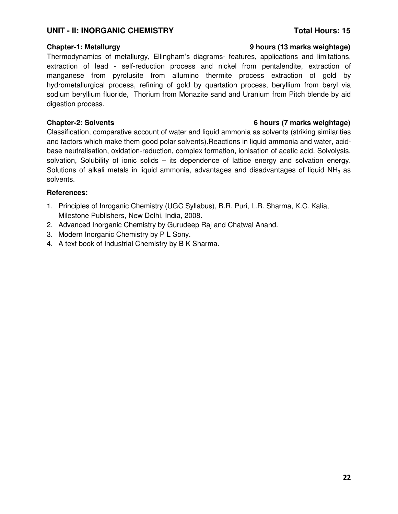### UNIT - II: INORGANIC CHEMISTRY **Total Hours: 15**

Thermodynamics of metallurgy, Ellingham's diagrams- features, applications and limitations, extraction of lead - self-reduction process and nickel from pentalendite, extraction of manganese from pyrolusite from allumino thermite process extraction of gold by hydrometallurgical process, refining of gold by quartation process, beryllium from beryl via sodium beryllium fluoride, Thorium from Monazite sand and Uranium from Pitch blende by aid digestion process.

### **Chapter-2: Solvents 6 hours (7 marks weightage)**

Classification, comparative account of water and liquid ammonia as solvents (striking similarities and factors which make them good polar solvents).Reactions in liquid ammonia and water, acidbase neutralisation, oxidation-reduction, complex formation, ionisation of acetic acid. Solvolysis, solvation, Solubility of ionic solids – its dependence of lattice energy and solvation energy. Solutions of alkali metals in liquid ammonia, advantages and disadvantages of liquid  $NH<sub>3</sub>$  as solvents.

### **References:**

- 1. Principles of Inroganic Chemistry (UGC Syllabus), B.R. Puri, L.R. Sharma, K.C. Kalia, Milestone Publishers, New Delhi, India, 2008.
- 2. Advanced Inorganic Chemistry by Gurudeep Raj and Chatwal Anand.
- 3. Modern Inorganic Chemistry by P L Sony.
- 4. A text book of Industrial Chemistry by B K Sharma.

### **Chapter-1: Metallurgy 9 hours (13 marks weightage)**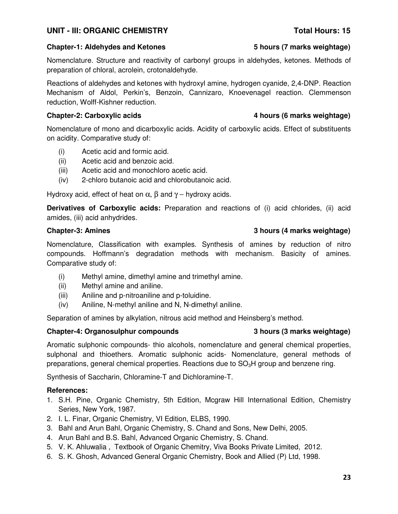## UNIT - III: ORGANIC CHEMISTRY **Total Hours: 15**

## **Chapter-1: Aldehydes and Ketones 5 hours (7 marks weightage)**

Nomenclature. Structure and reactivity of carbonyl groups in aldehydes, ketones. Methods of preparation of chloral, acrolein, crotonaldehyde.

Reactions of aldehydes and ketones with hydroxyl amine, hydrogen cyanide, 2,4-DNP. Reaction Mechanism of Aldol, Perkin's, Benzoin, Cannizaro, Knoevenagel reaction. Clemmenson reduction, Wolff-Kishner reduction.

Nomenclature of mono and dicarboxylic acids. Acidity of carboxylic acids. Effect of substituents on acidity. Comparative study of:

- (i) Acetic acid and formic acid.
- (ii) Acetic acid and benzoic acid.
- (iii) Acetic acid and monochloro acetic acid.
- (iv) 2-chloro butanoic acid and chlorobutanoic acid.

Hydroxy acid, effect of heat on  $\alpha$ ,  $\beta$  and  $\gamma$  – hydroxy acids.

**Derivatives of Carboxylic acids:** Preparation and reactions of (i) acid chlorides, (ii) acid amides, (iii) acid anhydrides.

Nomenclature, Classification with examples. Synthesis of amines by reduction of nitro compounds. Hoffmann's degradation methods with mechanism. Basicity of amines. Comparative study of:

- (i) Methyl amine, dimethyl amine and trimethyl amine.
- (ii) Methyl amine and aniline.
- (iii) Aniline and p-nitroaniline and p-toluidine.
- (iv) Aniline, N-methyl aniline and N, N-dimethyl aniline.

Separation of amines by alkylation, nitrous acid method and Heinsberg's method.

## **Chapter-4: Organosulphur compounds 3 hours (3 marks weightage)**

Aromatic sulphonic compounds- thio alcohols, nomenclature and general chemical properties, sulphonal and thioethers. Aromatic sulphonic acids- Nomenclature, general methods of preparations, general chemical properties. Reactions due to  $SO<sub>3</sub>H$  group and benzene ring.

Synthesis of Saccharin, Chloramine-T and Dichloramine-T.

## **References:**

- 1. S.H. Pine, Organic Chemistry, 5th Edition, Mcgraw Hill International Edition, Chemistry Series, New York, 1987.
- 2. I. L. Finar, Organic Chemistry, VI Edition, ELBS, 1990.
- 3. Bahl and Arun Bahl, Organic Chemistry, S. Chand and Sons, New Delhi, 2005.
- 4. Arun Bahl and B.S. Bahl, Advanced Organic Chemistry, S. Chand.
- 5. V. K. Ahluwalia , Textbook of Organic Chemitry, Viva Books Private Limited, 2012.
- 6. S. K. Ghosh, Advanced General Organic Chemistry, Book and Allied (P) Ltd, 1998.

## **Chapter-3: Amines 3 hours (4 marks weightage)**

## **Chapter-2: Carboxylic acids 4 hours (6 marks weightage)**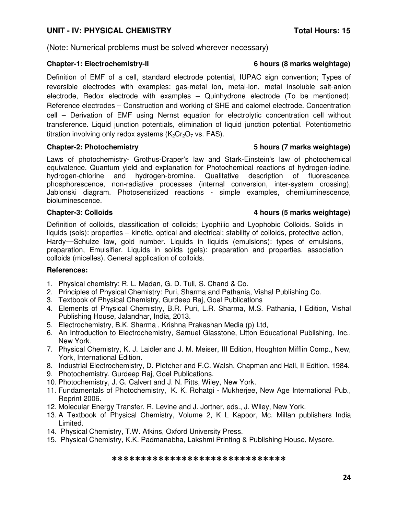## **UNIT - IV: PHYSICAL CHEMISTRY Total Hours: 15**

(Note: Numerical problems must be solved wherever necessary)

### **Chapter-1: Electrochemistry-II 6 hours (8 marks weightage)**

Definition of EMF of a cell, standard electrode potential, IUPAC sign convention; Types of reversible electrodes with examples: gas-metal ion, metal-ion, metal insoluble salt-anion electrode, Redox electrode with examples – Quinhydrone electrode (To be mentioned). Reference electrodes – Construction and working of SHE and calomel electrode. Concentration cell – Derivation of EMF using Nernst equation for electrolytic concentration cell without transference. Liquid junction potentials, elimination of liquid junction potential. Potentiometric titration involving only redox systems  $(K_2Cr_2O_7$  vs. FAS).

Laws of photochemistry- Grothus-Draper's law and Stark-Einstein's law of photochemical equivalence. Quantum yield and explanation for Photochemical reactions of hydrogen-iodine, hydrogen-chlorine and hydrogen-bromine. Qualitative description of fluorescence, phosphorescence, non-radiative processes (internal conversion, inter-system crossing), Jablonski diagram. Photosensitized reactions - simple examples, chemiluminescence, bioluminescence.

## **Chapter-3: Colloids 4 hours (5 marks weightage)**

Definition of colloids, classification of colloids; Lyophilic and Lyophobic Colloids. Solids in liquids (sols): properties – kinetic, optical and electrical; stability of colloids, protective action, Hardy—Schulze law, gold number. Liquids in liquids (emulsions): types of emulsions, preparation, Emulsifier. Liquids in solids (gels): preparation and properties, association colloids (micelles). General application of colloids.

## **References:**

- 1. Physical chemistry; R. L. Madan, G. D. Tuli, S. Chand & Co.
- 2. Principles of Physical Chemistry: Puri, Sharma and Pathania, Vishal Publishing Co.
- 3. Textbook of Physical Chemistry, Gurdeep Raj, Goel Publications
- 4. Elements of Physical Chemistry, B.R. Puri, L.R. Sharma, M.S. Pathania, I Edition, Vishal Publishing House, Jalandhar, India, 2013.
- 5. Electrochemistry, B.K. Sharma , Krishna Prakashan Media (p) Ltd,
- 6. An Introduction to Electrochemistry, Samuel Glasstone, Litton Educational Publishing, Inc., New York.
- 7. Physical Chemistry, K. J. Laidler and J. M. Meiser, III Edition, Houghton Mifflin Comp., New, York, International Edition.
- 8. Industrial Electrochemistry, D. Pletcher and F.C. Walsh, Chapman and Hall, II Edition, 1984.
- 9. Photochemistry, Gurdeep Raj, Goel Publications.
- 10. Photochemistry, J. G. Calvert and J. N. Pitts, Wiley, New York.
- 11. Fundamentals of Photochemistry, K. K. Rohatgi Mukherjee, New Age International Pub., Reprint 2006.
- 12. Molecular Energy Transfer, R. Levine and J. Jortner, eds., J. Wiley, New York.
- 13. A Textbook of Physical Chemistry, Volume 2, K L Kapoor, Mc. Millan publishers India Limited.
- 14. Physical Chemistry, T.W. Atkins, Oxford University Press.
- 15. Physical Chemistry, K.K. Padmanabha, Lakshmi Printing & Publishing House, Mysore.

### \*\*\*\*\*\*\*\*\*\*\*\*\*\*\*\*\*\*\*\*\*\*\*\*\*\*\*\*\*\*

### **Chapter-2: Photochemistry 5 hours (7 marks weightage)**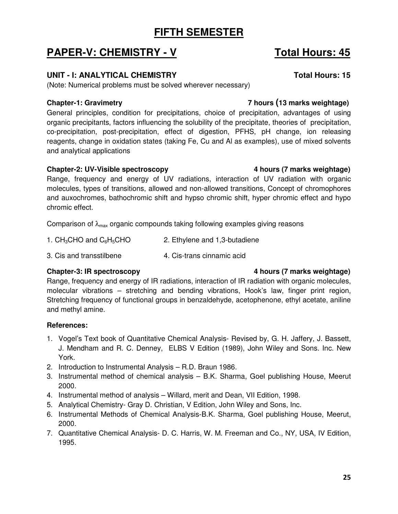# **FIFTH SEMESTER**

# **PAPER-V: CHEMISTRY - V Total Hours: 45**

## UNIT - I: ANALYTICAL CHEMISTRY **The CONSTRANGE OF A SET AND THE STATE OF THE STATE OF THE STATE OF THE STATE OF T**

(Note: Numerical problems must be solved wherever necessary)

## **Chapter-1: Gravimetry 7 hours (13 marks weightage)**

General principles, condition for precipitations, choice of precipitation, advantages of using organic precipitants, factors influencing the solubility of the precipitate, theories of precipitation, co-precipitation, post-precipitation, effect of digestion, PFHS, pH change, ion releasing reagents, change in oxidation states (taking Fe, Cu and Al as examples), use of mixed solvents and analytical applications

## **Chapter-2: UV-Visible spectroscopy 4 hours (7 marks weightage)**

Range, frequency and energy of UV radiations, interaction of UV radiation with organic molecules, types of transitions, allowed and non-allowed transitions, Concept of chromophores and auxochromes, bathochromic shift and hypso chromic shift, hyper chromic effect and hypo chromic effect.

Comparison of  $\lambda_{\text{max}}$  organic compounds taking following examples giving reasons

- 1.  $CH_3CHO$  and  $C_6H_5CHO$  2. Ethylene and 1,3-butadiene
- 3. Cis and transstilbene 4. Cis-trans cinnamic acid

Range, frequency and energy of IR radiations, interaction of IR radiation with organic molecules, molecular vibrations – stretching and bending vibrations, Hook's law, finger print region, Stretching frequency of functional groups in benzaldehyde, acetophenone, ethyl acetate, aniline and methyl amine.

## **References:**

- 1. Vogel's Text book of Quantitative Chemical Analysis- Revised by, G. H. Jaffery, J. Bassett, J. Mendham and R. C. Denney, ELBS V Edition (1989), John Wiley and Sons. Inc. New York.
- 2. Introduction to Instrumental Analysis R.D. Braun 1986.
- 3. Instrumental method of chemical analysis B.K. Sharma, Goel publishing House, Meerut 2000.
- 4. Instrumental method of analysis Willard, merit and Dean, VII Edition, 1998.
- 5. Analytical Chemistry- Gray D. Christian, V Edition, John Wiley and Sons, Inc.
- 6. Instrumental Methods of Chemical Analysis-B.K. Sharma, Goel publishing House, Meerut, 2000.
- 7. Quantitative Chemical Analysis- D. C. Harris, W. M. Freeman and Co., NY, USA, IV Edition, 1995.

## **Chapter-3: IR spectroscopy 4 hours (7 marks weightage)**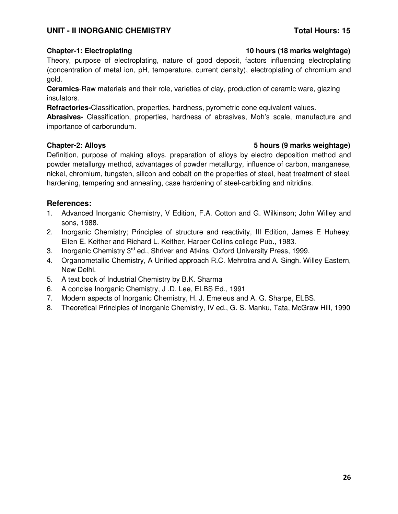## UNIT - II INORGANIC CHEMISTRY **Total Hours: 15**

### **Chapter-1: Electroplating 10 hours (18 marks weightage)**

Theory, purpose of electroplating, nature of good deposit, factors influencing electroplating (concentration of metal ion, pH, temperature, current density), electroplating of chromium and gold.

**Ceramics**-Raw materials and their role, varieties of clay, production of ceramic ware, glazing insulators.

**Refractories-**Classification, properties, hardness, pyrometric cone equivalent values.

**Abrasives-** Classification, properties, hardness of abrasives, Moh's scale, manufacture and importance of carborundum.

## **Chapter-2: Alloys 5 hours (9 marks weightage)**

Definition, purpose of making alloys, preparation of alloys by electro deposition method and powder metallurgy method, advantages of powder metallurgy, influence of carbon, manganese, nickel, chromium, tungsten, silicon and cobalt on the properties of steel, heat treatment of steel, hardening, tempering and annealing, case hardening of steel-carbiding and nitridins.

- 1. Advanced Inorganic Chemistry, V Edition, F.A. Cotton and G. Wilkinson; John Willey and sons, 1988.
- 2. Inorganic Chemistry; Principles of structure and reactivity, III Edition, James E Huheey, Ellen E. Keither and Richard L. Keither, Harper Collins college Pub., 1983.
- 3. Inorganic Chemistry 3<sup>rd</sup> ed., Shriver and Atkins, Oxford University Press, 1999.
- 4. Organometallic Chemistry, A Unified approach R.C. Mehrotra and A. Singh. Willey Eastern, New Delhi.
- 5. A text book of Industrial Chemistry by B.K. Sharma
- 6. A concise Inorganic Chemistry, J .D. Lee, ELBS Ed., 1991
- 7. Modern aspects of Inorganic Chemistry, H. J. Emeleus and A. G. Sharpe, ELBS.
- 8. Theoretical Principles of Inorganic Chemistry, IV ed., G. S. Manku, Tata, McGraw Hill, 1990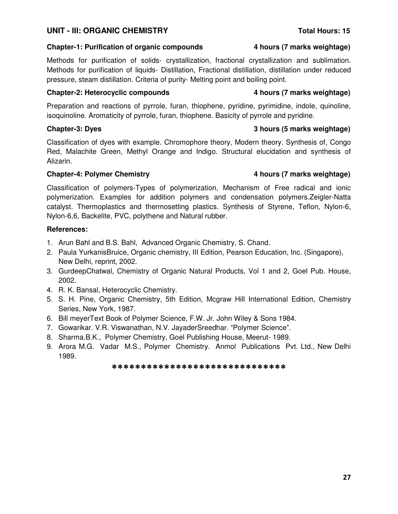## **UNIT - III: ORGANIC CHEMISTRY** *UNIT - III: ORGANIC CHEMISTRY*

## **Chapter-1: Purification of organic compounds 4 hours (7 marks weightage)**

Methods for purification of solids- crystallization, fractional crystallization and sublimation. Methods for purification of liquids- Distillation, Fractional distillation, distillation under reduced pressure, steam distillation. Criteria of purity- Melting point and boiling point.

## **Chapter-2: Heterocyclic compounds 4 hours (7 marks weightage)**

Preparation and reactions of pyrrole, furan, thiophene, pyridine, pyrimidine, indole, quinoline, isoquinoline. Aromaticity of pyrrole, furan, thiophene. Basicity of pyrrole and pyridine.

Classification of dyes with example. Chromophore theory, Modern theory. Synthesis of, Congo Red, Malachite Green, Methyl Orange and Indigo. Structural elucidation and synthesis of Alizarin.

## **Chapter-4: Polymer Chemistry 4 hours (7 marks weightage)**

Classification of polymers-Types of polymerization, Mechanism of Free radical and ionic polymerization. Examples for addition polymers and condensation polymers.Zeigler-Natta catalyst. Thermoplastics and thermosetting plastics. Synthesis of Styrene, Teflon, Nylon-6, Nylon-6,6, Backelite, PVC, polythene and Natural rubber.

## **References:**

- 1. Arun Bahl and B.S. Bahl, Advanced Organic Chemistry, S. Chand.
- 2. Paula YurkanisBruice, Organic chemistry, III Edition, Pearson Education, Inc. (Singapore), New Delhi, reprint, 2002.
- 3. GurdeepChatwal, Chemistry of Organic Natural Products, Vol 1 and 2, Goel Pub. House, 2002.
- 4. R. K. Bansal, Heterocyclic Chemistry.
- 5. S. H. Pine, Organic Chemistry, 5th Edition, Mcgraw Hill International Edition, Chemistry Series, New York, 1987.
- 6. Bill meyerText Book of Polymer Science, F.W. Jr. John Wiley & Sons 1984.
- 7. Gowarikar. V.R. Viswanathan, N.V. JayaderSreedhar. "Polymer Science".
- 8. Sharma.B.K., Polymer Chemistry, Goel Publishing House, Meerut- 1989.
- 9. Arora M.G. Vadar M.S., Polymer Chemistry. Anmol Publications Pvt. Ltd., New Delhi 1989.

### \*\*\*\*\*\*\*\*\*\*\*\*\*\*\*\*\*\*\*\*\*\*\*\*\*\*\*\*\*\*

## **Chapter-3: Dyes 3 hours (5 marks weightage)**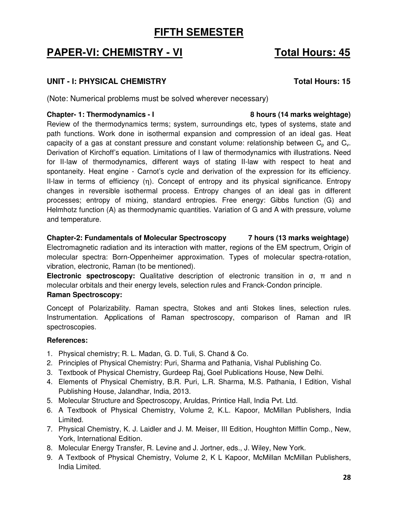# **FIFTH SEMESTER**

# **PAPER-VI: CHEMISTRY - VI Total Hours: 45**

## **UNIT - I: PHYSICAL CHEMISTRY Total Hours: 15**

(Note: Numerical problems must be solved wherever necessary)

## **Chapter- 1: Thermodynamics - I 8 hours (14 marks weightage)**

Review of the thermodynamics terms; system, surroundings etc, types of systems, state and path functions. Work done in isothermal expansion and compression of an ideal gas. Heat capacity of a gas at constant pressure and constant volume: relationship between  $C_p$  and  $C_v$ . Derivation of Kirchoff's equation. Limitations of I law of thermodynamics with illustrations. Need for II-law of thermodynamics, different ways of stating II-law with respect to heat and spontaneity. Heat engine - Carnot's cycle and derivation of the expression for its efficiency. II-law in terms of efficiency (η). Concept of entropy and its physical significance. Entropy changes in reversible isothermal process. Entropy changes of an ideal gas in different processes; entropy of mixing, standard entropies. Free energy: Gibbs function (G) and Helmhotz function (A) as thermodynamic quantities. Variation of G and A with pressure, volume and temperature.

**Chapter-2: Fundamentals of Molecular Spectroscopy 7 hours (13 marks weightage)** Electromagnetic radiation and its interaction with matter, regions of the EM spectrum, Origin of molecular spectra: Born-Oppenheimer approximation. Types of molecular spectra-rotation, vibration, electronic, Raman (to be mentioned).

**Electronic spectroscopy:** Qualitative description of electronic transition in σ, π and n molecular orbitals and their energy levels, selection rules and Franck-Condon principle. **Raman Spectroscopy:** 

Concept of Polarizability. Raman spectra, Stokes and anti Stokes lines, selection rules. Instrumentation. Applications of Raman spectroscopy, comparison of Raman and IR spectroscopies.

- 1. Physical chemistry; R. L. Madan, G. D. Tuli, S. Chand & Co.
- 2. Principles of Physical Chemistry: Puri, Sharma and Pathania, Vishal Publishing Co.
- 3. Textbook of Physical Chemistry, Gurdeep Raj, Goel Publications House, New Delhi.
- 4. Elements of Physical Chemistry, B.R. Puri, L.R. Sharma, M.S. Pathania, I Edition, Vishal Publishing House, Jalandhar, India, 2013.
- 5. Molecular Structure and Spectroscopy, Aruldas, Printice Hall, India Pvt. Ltd.
- 6. A Textbook of Physical Chemistry, Volume 2, K.L. Kapoor, McMillan Publishers, India Limited.
- 7. Physical Chemistry, K. J. Laidler and J. M. Meiser, III Edition, Houghton Mifflin Comp., New, York, International Edition.
- 8. Molecular Energy Transfer, R. Levine and J. Jortner, eds., J. Wiley, New York.
- 9. A Textbook of Physical Chemistry, Volume 2, K L Kapoor, McMillan McMillan Publishers, India Limited.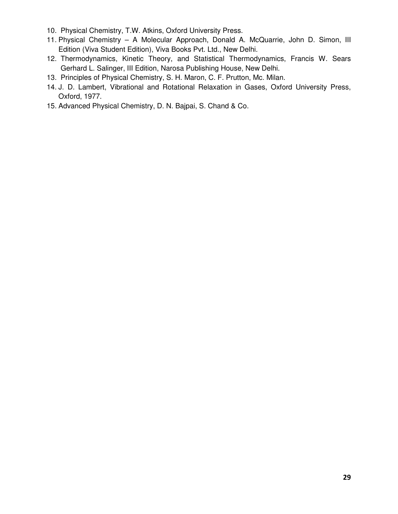- 10. Physical Chemistry, T.W. Atkins, Oxford University Press.
- 11. Physical Chemistry A Molecular Approach, Donald A. McQuarrie, John D. Simon, III Edition (Viva Student Edition), Viva Books Pvt. Ltd., New Delhi.
- 12. Thermodynamics, Kinetic Theory, and Statistical Thermodynamics, Francis W. Sears Gerhard L. Salinger, III Edition, Narosa Publishing House, New Delhi.
- 13. Principles of Physical Chemistry, S. H. Maron, C. F. Prutton, Mc. Milan.
- 14. J. D. Lambert, Vibrational and Rotational Relaxation in Gases, Oxford University Press, Oxford, 1977.
- 15. Advanced Physical Chemistry, D. N. Bajpai, S. Chand & Co.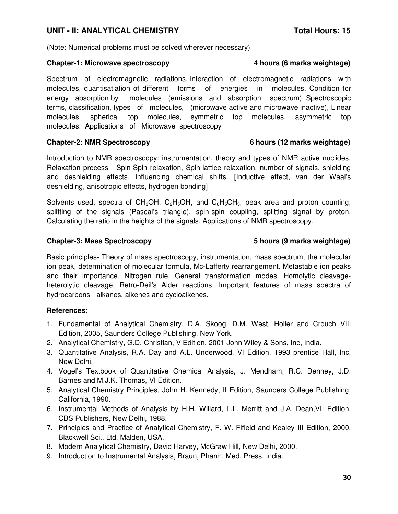### UNIT - II: ANALYTICAL CHEMISTRY **Total Hours: 15**

(Note: Numerical problems must be solved wherever necessary)

### **Chapter-1: Microwave spectroscopy 4 hours (6 marks weightage)**

Spectrum of electromagnetic radiations, interaction of electromagnetic radiations with molecules, quantisatiation of different forms of energies in molecules. Condition for energy absorption by molecules (emissions and absorption spectrum). Spectroscopic terms, classification, types of molecules, (microwave active and microwave inactive), Linear molecules, spherical top molecules, symmetric top molecules, asymmetric top molecules. Applications of Microwave spectroscopy

### **Chapter-2: NMR Spectroscopy 6 hours (12 marks weightage)**

Introduction to NMR spectroscopy: instrumentation, theory and types of NMR active nuclides. Relaxation process - Spin-Spin relaxation, Spin-lattice relaxation, number of signals, shielding and deshielding effects, influencing chemical shifts. [Inductive effect, van der Waal's deshielding, anisotropic effects, hydrogen bonding]

Solvents used, spectra of CH<sub>3</sub>OH, C<sub>2</sub>H<sub>5</sub>OH, and C<sub>6</sub>H<sub>5</sub>CH<sub>3</sub>, peak area and proton counting, splitting of the signals (Pascal's triangle), spin-spin coupling, splitting signal by proton. Calculating the ratio in the heights of the signals. Applications of NMR spectroscopy.

### **Chapter-3: Mass Spectroscopy 5 hours (9 marks weightage)**

Basic principles- Theory of mass spectroscopy, instrumentation, mass spectrum, the molecular ion peak, determination of molecular formula, Mc-Lafferty rearrangement. Metastable ion peaks and their importance. Nitrogen rule. General transformation modes. Homolytic cleavageheterolytic cleavage. Retro-Deil's Alder reactions. Important features of mass spectra of hydrocarbons - alkanes, alkenes and cycloalkenes.

- 1. Fundamental of Analytical Chemistry, D.A. Skoog, D.M. West, Holler and Crouch VIII Edition, 2005, Saunders College Publishing, New York.
- 2. Analytical Chemistry, G.D. Christian, V Edition, 2001 John Wiley & Sons, Inc, India.
- 3. Quantitative Analysis, R.A. Day and A.L. Underwood, VI Edition, 1993 prentice Hall, Inc. New Delhi.
- 4. Vogel's Textbook of Quantitative Chemical Analysis, J. Mendham, R.C. Denney, J.D. Barnes and M.J.K. Thomas, VI Edition.
- 5. Analytical Chemistry Principles, John H. Kennedy, II Edition, Saunders College Publishing, California, 1990.
- 6. Instrumental Methods of Analysis by H.H. Willard, L.L. Merritt and J.A. Dean,VII Edition, CBS Publishers, New Delhi, 1988.
- 7. Principles and Practice of Analytical Chemistry, F. W. Fifield and Kealey III Edition, 2000, Blackwell Sci., Ltd. Malden, USA.
- 8. Modern Analytical Chemistry, David Harvey, McGraw Hill, New Delhi, 2000.
- 9. Introduction to Instrumental Analysis, Braun, Pharm. Med. Press. India.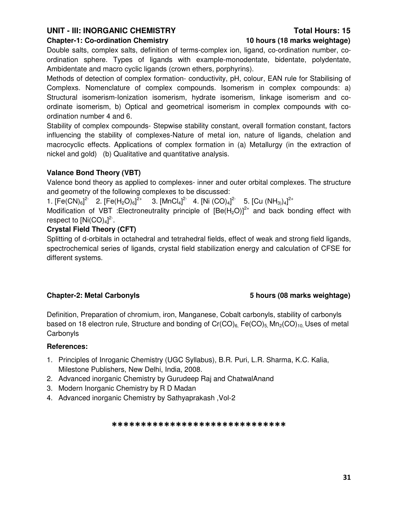## UNIT - III: INORGANIC CHEMISTRY **Total Hours: 15**

### **Chapter-1: Co-ordination Chemistry 10 hours (18 marks weightage)**

Double salts, complex salts, definition of terms-complex ion, ligand, co-ordination number, coordination sphere. Types of ligands with example-monodentate, bidentate, polydentate, Ambidentate and macro cyclic ligands (crown ethers, porphyrins).

Methods of detection of complex formation- conductivity, pH, colour, EAN rule for Stabilising of Complexs. Nomenclature of complex compounds. Isomerism in complex compounds: a) Structural isomerism-Ionization isomerism, hydrate isomerism, linkage isomerism and coordinate isomerism, b) Optical and geometrical isomerism in complex compounds with coordination number 4 and 6.

Stability of complex compounds- Stepwise stability constant, overall formation constant, factors influencing the stability of complexes-Nature of metal ion, nature of ligands, chelation and macrocyclic effects. Applications of complex formation in (a) Metallurgy (in the extraction of nickel and gold) (b) Qualitative and quantitative analysis.

### **Valance Bond Theory (VBT)**

Valence bond theory as applied to complexes- inner and outer orbital complexes. The structure and geometry of the following complexes to be discussed:

1.  $[Fe(CN)_{6}]^{2}$  2.  $[Fe(H_{2}O)_{6}]^{2}$  3.  $[MnCl_{4}]^{2}$  4.  $[Ni (CO)_{4}]^{2}$  5.  $[Cu (NH_{3})_{4}]^{2}$ 

Modification of VBT : Electroneutrality principle of  $[Be(H<sub>2</sub>O)]<sup>2+</sup>$  and back bonding effect with respect to  $[Ni(CO)<sub>4</sub>]<sup>2</sup>$ .

## **Crystal Field Theory (CFT)**

Splitting of d-orbitals in octahedral and tetrahedral fields, effect of weak and strong field ligands, spectrochemical series of ligands, crystal field stabilization energy and calculation of CFSE for different systems.

## **Chapter-2: Metal Carbonyls 5 hours (08 marks weightage)**

Definition, Preparation of chromium, iron, Manganese, Cobalt carbonyls, stability of carbonyls based on 18 electron rule, Structure and bonding of  $Cr(CO)_6$ ,  $Fe(CO)_5$ ,  $Mn_2(CO)_{10}$ , Uses of metal **Carbonyls** 

### **References:**

- 1. Principles of Inroganic Chemistry (UGC Syllabus), B.R. Puri, L.R. Sharma, K.C. Kalia, Milestone Publishers, New Delhi, India, 2008.
- 2. Advanced inorganic Chemistry by Gurudeep Raj and ChatwalAnand
- 3. Modern Inorganic Chemistry by R D Madan
- 4. Advanced inorganic Chemistry by Sathyaprakash ,Vol-2

### \*\*\*\*\*\*\*\*\*\*\*\*\*\*\*\*\*\*\*\*\*\*\*\*\*\*\*\*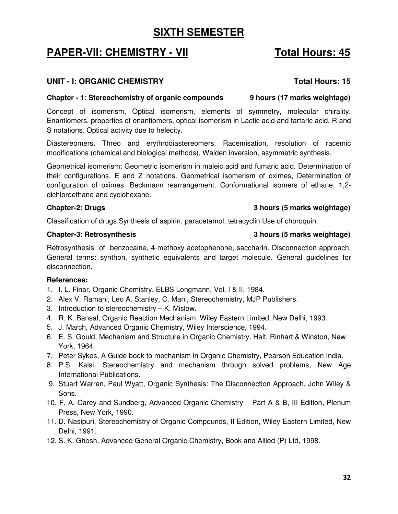# **SIXTH SEMESTER**

# **PAPER-VII: CHEMISTRY - VII Total Hours: 45**

## **UNIT - I: ORGANIC CHEMISTRY Total Hours: 15**

## **Chapter - 1: Stereochemistry of organic compounds 9 hours (17 marks weightage)**

Concept of isomerism, Optical isomerism, elements of symmetry, molecular chirality. Enantiomers, properties of enantiomers, optical isomerism in Lactic acid and tartaric acid. R and S notations. Optical activity due to helecity.

Diastereomers. Threo and erythrodiastereomers. Racemisation, resolution of racemic modifications (chemical and biological methods), Walden inversion, asymmetric synthesis.

Geometrical isomerism: Geometric isomerism in maleic acid and fumaric acid. Determination of their configurations. E and Z notations. Geometrical isomerism of oximes, Determination of configuration of oximes. Beckmann rearrangement. Conformational isomers of ethane, 1,2 dichloroethane and cyclohexane.

Classification of drugs.Synthesis of aspirin, paracetamol, tetracyclin.Use of choroquin.

## **Chapter-3: Retrosynthesis 3 hours (5 marks weightage)**

Retrosynthesis of benzocaine, 4-methoxy acetophenone, saccharin. Disconnection approach. General terms: synthon, synthetic equivalents and target molecule. General guidelines for disconnection.

## **References:**

- 1. I. L. Finar, Organic Chemistry, ELBS Longmann, Vol. I & II, 1984.
- 2. Alex V. Ramani, Leo A. Stanley, C. Mani, Stereochemistry, MJP Publishers.
- 3. Introduction to stereochemistry K. Mislow.
- 4. R. K. Bansal, Organic Reaction Mechanism, Wiley Eastern Limited, New Delhi, 1993.
- 5. J. March, Advanced Organic Chemistry, Wiley Interscience, 1994.
- 6. E. S. Gould, Mechanism and Structure in Organic Chemistry, Halt, Rinhart & Winston, New York, 1964.
- 7. Peter Sykes, A Guide book to mechanism in Organic Chemistry, Pearson Education India.
- 8. P.S. Kalsi, Stereochemistry and mechanism through solved problems, New Age International Publications.
- 9. Stuart Warren, Paul Wyatt, Organic Synthesis: The Disconnection Approach, John Wiley & Sons.
- 10. F. A. Carey and Sundberg, Advanced Organic Chemistry Part A & B, III Edition, Plenum Press, New York, 1990.
- 11. D. Nasipuri, Stereochemistry of Organic Compounds, II Edition, Wiley Eastern Limited, New Delhi, 1991.
- 12. S. K. Ghosh, Advanced General Organic Chemistry, Book and Allied (P) Ltd, 1998.

## **Chapter-2: Drugs 3 hours (5 marks weightage)**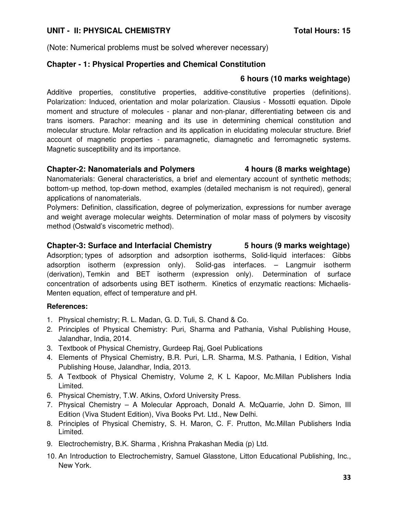## UNIT - II: PHYSICAL CHEMISTRY **The CHANGE OF STATE CONSTRUSS IS**

(Note: Numerical problems must be solved wherever necessary)

### **Chapter - 1: Physical Properties and Chemical Constitution**

### **6 hours (10 marks weightage)**

Additive properties, constitutive properties, additive-constitutive properties (definitions). Polarization: Induced, orientation and molar polarization. Clausius - Mossotti equation. Dipole moment and structure of molecules - planar and non-planar, differentiating between cis and trans isomers. Parachor: meaning and its use in determining chemical constitution and molecular structure. Molar refraction and its application in elucidating molecular structure. Brief account of magnetic properties - paramagnetic, diamagnetic and ferromagnetic systems. Magnetic susceptibility and its importance.

### **Chapter-2: Nanomaterials and Polymers 4 hours (8 marks weightage)**

Nanomaterials: General characteristics, a brief and elementary account of synthetic methods; bottom-up method, top-down method, examples (detailed mechanism is not required), general applications of nanomaterials.

Polymers: Definition, classification, degree of polymerization, expressions for number average and weight average molecular weights. Determination of molar mass of polymers by viscosity method (Ostwald's viscometric method).

# **Chapter-3: Surface and Interfacial Chemistry 5 hours (9 marks weightage)**

Adsorption; types of adsorption and adsorption isotherms, Solid-liquid interfaces: Gibbs adsorption isotherm (expression only). Solid-gas interfaces. – Langmuir isotherm (derivation), Temkin and BET isotherm (expression only). Determination of surface concentration of adsorbents using BET isotherm. Kinetics of enzymatic reactions: Michaelis-Menten equation, effect of temperature and pH.

- 1. Physical chemistry; R. L. Madan, G. D. Tuli, S. Chand & Co.
- 2. Principles of Physical Chemistry: Puri, Sharma and Pathania, Vishal Publishing House, Jalandhar, India, 2014.
- 3. Textbook of Physical Chemistry, Gurdeep Raj, Goel Publications
- 4. Elements of Physical Chemistry, B.R. Puri, L.R. Sharma, M.S. Pathania, I Edition, Vishal Publishing House, Jalandhar, India, 2013.
- 5. A Textbook of Physical Chemistry, Volume 2, K L Kapoor, Mc.Millan Publishers India Limited.
- 6. Physical Chemistry, T.W. Atkins, Oxford University Press.
- 7. Physical Chemistry A Molecular Approach, Donald A. McQuarrie, John D. Simon, III Edition (Viva Student Edition), Viva Books Pvt. Ltd., New Delhi.
- 8. Principles of Physical Chemistry, S. H. Maron, C. F. Prutton, Mc.Millan Publishers India Limited.
- 9. Electrochemistry, B.K. Sharma , Krishna Prakashan Media (p) Ltd.
- 10. An Introduction to Electrochemistry, Samuel Glasstone, Litton Educational Publishing, Inc., New York.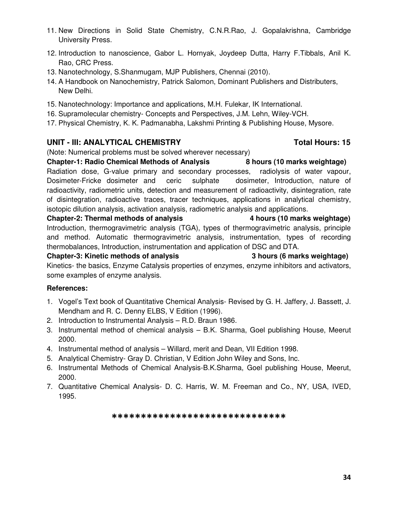- 11. New Directions in Solid State Chemistry, C.N.R.Rao, J. Gopalakrishna, Cambridge University Press.
- 12. Introduction to nanoscience, Gabor L. Hornyak, Joydeep Dutta, Harry F.Tibbals, Anil K. Rao, CRC Press.
- 13. Nanotechnology, S.Shanmugam, MJP Publishers, Chennai (2010).
- 14. A Handbook on Nanochemistry, Patrick Salomon, Dominant Publishers and Distributers, New Delhi.
- 15. Nanotechnology: Importance and applications, M.H. Fulekar, IK International.
- 16. Supramolecular chemistry- Concepts and Perspectives, J.M. Lehn, Wiley-VCH.
- 17. Physical Chemistry, K. K. Padmanabha, Lakshmi Printing & Publishing House, Mysore.

## UNIT - III: ANALYTICAL CHEMISTRY **The Contract of Contract CHEMISTRY** Total Hours: 15

(Note: Numerical problems must be solved wherever necessary)

**Chapter-1: Radio Chemical Methods of Analysis 8 hours (10 marks weightage)**  Radiation dose, G-value primary and secondary processes, radiolysis of water vapour, Dosimeter-Fricke dosimeter and ceric sulphate dosimeter, Introduction, nature of radioactivity, radiometric units, detection and measurement of radioactivity, disintegration, rate of disintegration, radioactive traces, tracer techniques, applications in analytical chemistry, isotopic dilution analysis, activation analysis, radiometric analysis and applications.

**Chapter-2: Thermal methods of analysis 4 hours (10 marks weightage)**  Introduction, thermogravimetric analysis (TGA), types of thermogravimetric analysis, principle and method. Automatic thermogravimetric analysis, instrumentation, types of recording thermobalances, Introduction, instrumentation and application of DSC and DTA.

**Chapter-3: Kinetic methods of analysis 3 hours (6 marks weightage)**  Kinetics- the basics, Enzyme Catalysis properties of enzymes, enzyme inhibitors and activators, some examples of enzyme analysis.

- 1. Vogel's Text book of Quantitative Chemical Analysis- Revised by G. H. Jaffery, J. Bassett, J. Mendham and R. C. Denny ELBS, V Edition (1996).
- 2. Introduction to Instrumental Analysis R.D. Braun 1986.
- 3. Instrumental method of chemical analysis B.K. Sharma, Goel publishing House, Meerut 2000.
- 4. Instrumental method of analysis Willard, merit and Dean, VII Edition 1998.
- 5. Analytical Chemistry- Gray D. Christian, V Edition John Wiley and Sons, Inc.
- 6. Instrumental Methods of Chemical Analysis-B.K.Sharma, Goel publishing House, Meerut, 2000.
- 7. Quantitative Chemical Analysis- D. C. Harris, W. M. Freeman and Co., NY, USA, IVED, 1995.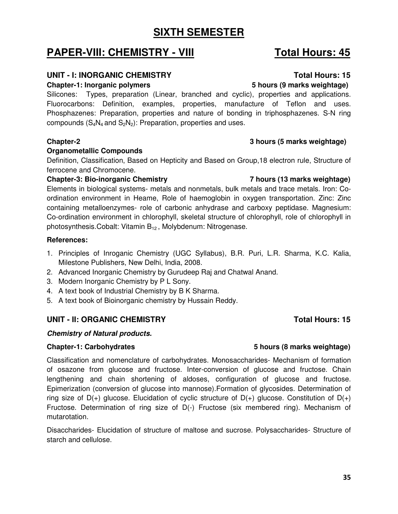# **SIXTH SEMESTER**

# **PAPER-VIII: CHEMISTRY - VIII Total Hours: 45**

## UNIT - I: INORGANIC CHEMISTRY **The CONSTRANT CONSTRANT CONSTRANT CONSTRANT CONSTRANT CONSTRANT CONSTRANT CONSTR**

### **Chapter-1: Inorganic polymers 5 hours (9 marks weightage)**

Silicones: Types, preparation (Linear, branched and cyclic), properties and applications. Fluorocarbons: Definition, examples, properties, manufacture of Teflon and uses. Phosphazenes: Preparation, properties and nature of bonding in triphosphazenes. S-N ring compounds  $(S_4N_4$  and  $S_2N_2)$ : Preparation, properties and uses.

### **Chapter-2 3 hours (5 marks weightage)**

### **Organometallic Compounds**

Definition, Classification, Based on Hepticity and Based on Group,18 electron rule, Structure of ferrocene and Chromocene.

### **Chapter-3: Bio-inorganic Chemistry 7 hours (13 marks weightage)**

Elements in biological systems- metals and nonmetals, bulk metals and trace metals. Iron: Coordination environment in Heame, Role of haemoglobin in oxygen transportation. Zinc: Zinc containing metalloenzymes- role of carbonic anhydrase and carboxy peptidase. Magnesium: Co-ordination environment in chlorophyll, skeletal structure of chlorophyll, role of chlorophyll in photosynthesis.Cobalt: Vitamin B<sub>12</sub>, Molybdenum: Nitrogenase.

### **References:**

- 1. Principles of Inroganic Chemistry (UGC Syllabus), B.R. Puri, L.R. Sharma, K.C. Kalia, Milestone Publishers, New Delhi, India, 2008.
- 2. Advanced Inorganic Chemistry by Gurudeep Raj and Chatwal Anand.
- 3. Modern Inorganic Chemistry by P L Sony.
- 4. A text book of Industrial Chemistry by B K Sharma.
- 5. A text book of Bioinorganic chemistry by Hussain Reddy.

## **UNIT - II: ORGANIC CHEMISTRY CONSTRANT CONSTRANT CONSTRANT CONSTRANT CONSTRANT CONSTRANT CONSTRANT CONSTRANT CONSTRANT CONSTRANT CONSTRANT CONSTRANT CONSTRANT CONSTRANT CONSTRANT CONSTRANT CONSTRANT CONSTRANT CONSTRANT CO**

## **Chemistry of Natural products.**

Classification and nomenclature of carbohydrates. Monosaccharides- Mechanism of formation of osazone from glucose and fructose. Inter-conversion of glucose and fructose. Chain lengthening and chain shortening of aldoses, configuration of glucose and fructose. Epimerization (conversion of glucose into mannose).Formation of glycosides. Determination of ring size of  $D(+)$  glucose. Elucidation of cyclic structure of  $D(+)$  glucose. Constitution of  $D(+)$ Fructose. Determination of ring size of D(-) Fructose (six membered ring). Mechanism of mutarotation.

Disaccharides- Elucidation of structure of maltose and sucrose. Polysaccharides- Structure of starch and cellulose.

## **Chapter-1: Carbohydrates 5 hours (8 marks weightage)**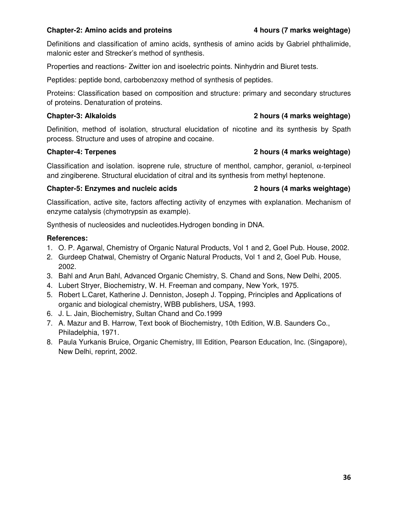## **Chapter-2: Amino acids and proteins 4 hours (7 marks weightage)**

Definitions and classification of amino acids, synthesis of amino acids by Gabriel phthalimide, malonic ester and Strecker's method of synthesis.

Properties and reactions- Zwitter ion and isoelectric points. Ninhydrin and Biuret tests.

Peptides: peptide bond, carbobenzoxy method of synthesis of peptides.

Proteins: Classification based on composition and structure: primary and secondary structures of proteins. Denaturation of proteins.

## **Chapter-3: Alkaloids 2 hours (4 marks weightage)**

Definition, method of isolation, structural elucidation of nicotine and its synthesis by Spath process. Structure and uses of atropine and cocaine.

## **Chapter-4: Terpenes 2 hours (4 marks weightage)**

Classification and isolation. isoprene rule, structure of menthol, camphor, geraniol, α-terpineol and zingiberene. Structural elucidation of citral and its synthesis from methyl heptenone.

## **Chapter-5: Enzymes and nucleic acids 2 hours (4 marks weightage)**

Classification, active site, factors affecting activity of enzymes with explanation. Mechanism of enzyme catalysis (chymotrypsin as example).

Synthesis of nucleosides and nucleotides.Hydrogen bonding in DNA.

- 1. O. P. Agarwal, Chemistry of Organic Natural Products, Vol 1 and 2, Goel Pub. House, 2002.
- 2. Gurdeep Chatwal, Chemistry of Organic Natural Products, Vol 1 and 2, Goel Pub. House, 2002.
- 3. Bahl and Arun Bahl, Advanced Organic Chemistry, S. Chand and Sons, New Delhi, 2005.
- 4. Lubert Stryer, Biochemistry, W. H. Freeman and company, New York, 1975.
- 5. Robert L.Caret, Katherine J. Denniston, Joseph J. Topping, Principles and Applications of organic and biological chemistry, WBB publishers, USA, 1993.
- 6. J. L. Jain, Biochemistry, Sultan Chand and Co.1999
- 7. A. Mazur and B. Harrow, Text book of Biochemistry, 10th Edition, W.B. Saunders Co., Philadelphia, 1971.
- 8. Paula Yurkanis Bruice, Organic Chemistry, III Edition, Pearson Education, Inc. (Singapore), New Delhi, reprint, 2002.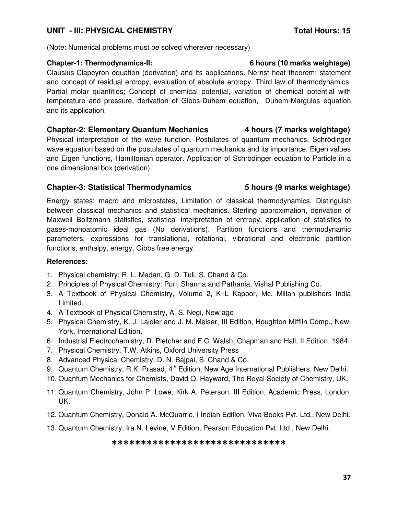## UNIT - III: PHYSICAL CHEMISTRY **The CONTRACT CONSTRUSS IN TRACTA**

(Note: Numerical problems must be solved wherever necessary)

## **Chapter-1: Thermodynamics-II: 6 hours (10 marks weightage)**

Clausius-Clapeyron equation (derivation) and its applications. Nernst heat theorem; statement and concept of residual entropy, evaluation of absolute entropy. Third law of thermodynamics. Partial molar quantities; Concept of chemical potential, variation of chemical potential with temperature and pressure, derivation of Gibbs-Duhem equation, Duhem-Margules equation and its application.

## **Chapter-2: Elementary Quantum Mechanics 4 hours (7 marks weightage)**

Physical interpretation of the wave function. Postulates of quantum mechanics, Schrödinger wave equation based on the postulates of quantum mechanics and its importance. Eigen values and Eigen functions, Hamiltonian operator. Application of Schrödinger equation to Particle in a one dimensional box (derivation).

## **Chapter-3: Statistical Thermodynamics 5 hours (9 marks weightage)**

Energy states: macro and microstates, Limitation of classical thermodynamics, Distinguish between classical mechanics and statistical mechanics. Sterling approximation, derivation of Maxwell–Boltzmann statistics, statistical interpretation of entropy, application of statistics to gases-monoatomic ideal gas (No derivations). Partition functions and thermodynamic parameters, expressions for translational, rotational, vibrational and electronic partition functions, enthalpy, energy, Gibbs free energy.

## **References:**

- 1. Physical chemistry; R. L. Madan, G. D. Tuli, S. Chand & Co.
- 2. Principles of Physical Chemistry: Puri, Sharma and Pathania, Vishal Publishing Co.
- 3. A Textbook of Physical Chemistry, Volume 2, K L Kapoor, Mc. Millan publishers India Limited.
- 4. A Textbook of Physical Chemistry, A. S. Negi, New age
- 5. Physical Chemistry, K. J. Laidler and J. M. Meiser, III Edition, Houghton Mifflin Comp., New, York, International Edition.
- 6. Industrial Electrochemistry, D. Pletcher and F.C. Walsh, Chapman and Hall, II Edition, 1984.
- 7. Physical Chemistry, T.W. Atkins, Oxford University Press
- 8. Advanced Physical Chemistry, D. N. Bajpai, S. Chand & Co.
- 9. Quantum Chemistry, R.K. Prasad, 4<sup>th</sup> Edition, New Age International Publishers, New Delhi.
- 10. Quantum Mechanics for Chemists, David O. Hayward, The Royal Society of Chemistry, UK.
- 11. Quantum Chemistry, John P. Lowe, Kirk A. Peterson, III Edition, Academic Press, London, UK.
- 12. Quantum Chemistry, Donald A. McQuarrie, I Indian Edition, Viva Books Pvt. Ltd., New Delhi.
- 13. Quantum Chemistry, Ira N. Levine, V Edition, Pearson Education Pvt. Ltd., New Delhi.

## \*\*\*\*\*\*\*\*\*\*\*\*\*\*\*\*\*\*\*\*\*\*\*\*\*\*\*\*\*\*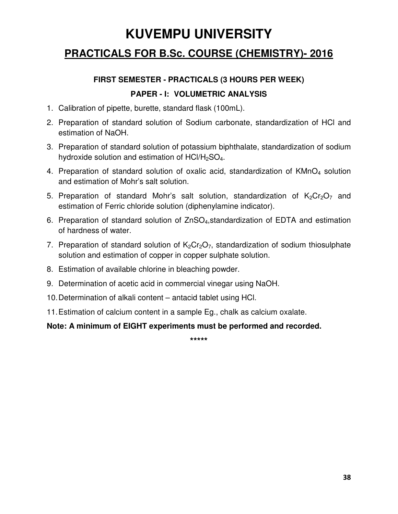# **KUVEMPU UNIVERSITY**

# **PRACTICALS FOR B.Sc. COURSE (CHEMISTRY)- 2016**

## **FIRST SEMESTER - PRACTICALS (3 HOURS PER WEEK)**

## **PAPER - I: VOLUMETRIC ANALYSIS**

- 1. Calibration of pipette, burette, standard flask (100mL).
- 2. Preparation of standard solution of Sodium carbonate, standardization of HCl and estimation of NaOH.
- 3. Preparation of standard solution of potassium biphthalate, standardization of sodium hydroxide solution and estimation of  $HCl/H<sub>2</sub>SO<sub>4</sub>$ .
- 4. Preparation of standard solution of oxalic acid, standardization of KMnO<sub>4</sub> solution and estimation of Mohr's salt solution.
- 5. Preparation of standard Mohr's salt solution, standardization of  $K_2Cr_2O_7$  and estimation of Ferric chloride solution (diphenylamine indicator).
- 6. Preparation of standard solution of ZnSO4,standardization of EDTA and estimation of hardness of water.
- 7. Preparation of standard solution of  $K_2Cr_2O_7$ , standardization of sodium thiosulphate solution and estimation of copper in copper sulphate solution.
- 8. Estimation of available chlorine in bleaching powder.
- 9. Determination of acetic acid in commercial vinegar using NaOH.
- 10. Determination of alkali content antacid tablet using HCl.
- 11. Estimation of calcium content in a sample Eg., chalk as calcium oxalate.

## **Note: A minimum of EIGHT experiments must be performed and recorded.**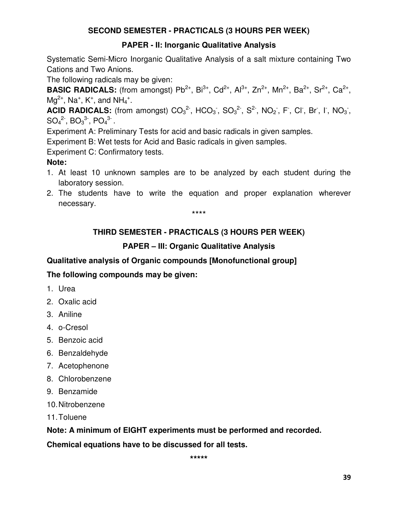## **SECOND SEMESTER - PRACTICALS (3 HOURS PER WEEK)**

## **PAPER - II: Inorganic Qualitative Analysis**

Systematic Semi-Micro Inorganic Qualitative Analysis of a salt mixture containing Two Cations and Two Anions.

The following radicals may be given:

**BASIC RADICALS:** (from amongst) Pb<sup>2+</sup>, Bi<sup>3+</sup>, Cd<sup>2+</sup>, Al<sup>3+</sup>, Zn<sup>2+</sup>, Mn<sup>2+</sup>, Ba<sup>2+</sup>, Sr<sup>2+</sup>, Ca<sup>2+</sup>,  $Mg^{2+}$ , Na<sup>+</sup>, K<sup>+</sup>, and NH<sub>4</sub><sup>+</sup>.

**ACID RADICALS:** (from amongst)  $CO_3^2$ , HCO<sub>3</sub>, SO<sub>3</sub><sup>2</sup>, S<sup>2</sup>, NO<sub>2</sub>, F, CI, Br, I, NO<sub>3</sub>,  $SO_4{}^2$ ,  $BO_3{}^3$ ,  $PO_4{}^3$ .

Experiment A: Preliminary Tests for acid and basic radicals in given samples.

Experiment B: Wet tests for Acid and Basic radicals in given samples.

Experiment C: Confirmatory tests.

## **Note:**

- 1. At least 10 unknown samples are to be analyzed by each student during the laboratory session.
- 2. The students have to write the equation and proper explanation wherever necessary.

\*\*\*\*

## **THIRD SEMESTER - PRACTICALS (3 HOURS PER WEEK)**

## **PAPER – III: Organic Qualitative Analysis**

**Qualitative analysis of Organic compounds [Monofunctional group]** 

## **The following compounds may be given:**

- 1. Urea
- 2. Oxalic acid
- 3. Aniline
- 4. o-Cresol
- 5. Benzoic acid
- 6. Benzaldehyde
- 7. Acetophenone
- 8. Chlorobenzene
- 9. Benzamide
- 10. Nitrobenzene
- 11. Toluene

**Note: A minimum of EIGHT experiments must be performed and recorded.** 

**Chemical equations have to be discussed for all tests.**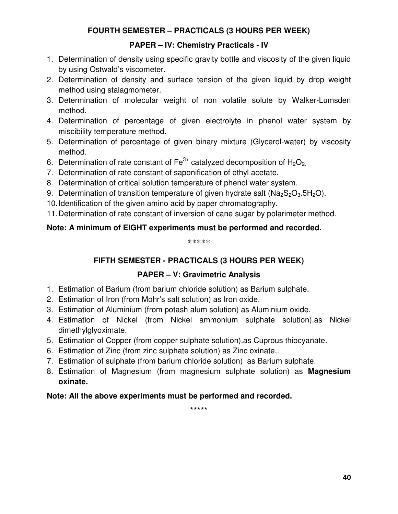## **FOURTH SEMESTER – PRACTICALS (3 HOURS PER WEEK)**

## **PAPER – IV: Chemistry Practicals - IV**

- 1. Determination of density using specific gravity bottle and viscosity of the given liquid by using Ostwald's viscometer.
- 2. Determination of density and surface tension of the given liquid by drop weight method using stalagmometer.
- 3. Determination of molecular weight of non volatile solute by Walker-Lumsden method.
- 4. Determination of percentage of given electrolyte in phenol water system by miscibility temperature method.
- 5. Determination of percentage of given binary mixture (Glycerol-water) by viscosity method.
- 6. Determination of rate constant of  $Fe^{3+}$  catalyzed decomposition of  $H_2O_2$ .
- 7. Determination of rate constant of saponification of ethyl acetate.
- 8. Determination of critical solution temperature of phenol water system.
- 9. Determination of transition temperature of given hydrate salt ( $Na<sub>2</sub>Si<sub>2</sub>O<sub>3</sub>5H<sub>2</sub>O$ ).
- 10. Identification of the given amino acid by paper chromatography.

11. Determination of rate constant of inversion of cane sugar by polarimeter method.

## **Note: A minimum of EIGHT experiments must be performed and recorded.**

\*\*\*\*\*

## **FIFTH SEMESTER - PRACTICALS (3 HOURS PER WEEK)**

## **PAPER – V: Gravimetric Analysis**

- 1. Estimation of Barium (from barium chloride solution) as Barium sulphate.
- 2. Estimation of Iron (from Mohr's salt solution) as Iron oxide.
- 3. Estimation of Aluminium (from potash alum solution) as Aluminium oxide.
- 4. Estimation of Nickel (from Nickel ammonium sulphate solution).as Nickel dimethylglyoximate.
- 5. Estimation of Copper (from copper sulphate solution).as Cuprous thiocyanate.
- 6. Estimation of Zinc (from zinc sulphate solution) as Zinc oxinate..
- 7. Estimation of sulphate (from barium chloride solution) as Barium sulphate.
- 8. Estimation of Magnesium (from magnesium sulphate solution) as **Magnesium oxinate.**

## **Note: All the above experiments must be performed and recorded.**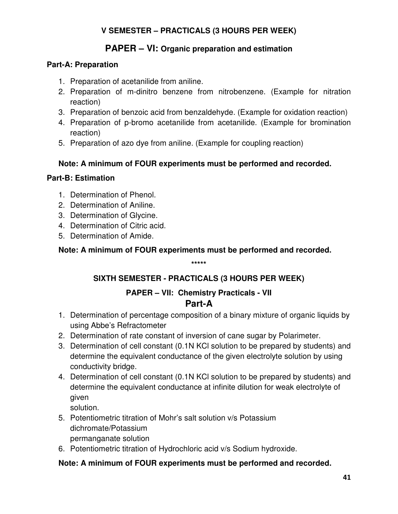## **V SEMESTER – PRACTICALS (3 HOURS PER WEEK)**

## **PAPER – VI: Organic preparation and estimation**

## **Part-A: Preparation**

- 1. Preparation of acetanilide from aniline.
- 2. Preparation of m-dinitro benzene from nitrobenzene. (Example for nitration reaction)
- 3. Preparation of benzoic acid from benzaldehyde. (Example for oxidation reaction)
- 4. Preparation of p-bromo acetanilide from acetanilide. (Example for bromination reaction)
- 5. Preparation of azo dye from aniline. (Example for coupling reaction)

## **Note: A minimum of FOUR experiments must be performed and recorded.**

## **Part-B: Estimation**

- 1. Determination of Phenol.
- 2. Determination of Aniline.
- 3. Determination of Glycine.
- 4. Determination of Citric acid.
- 5. Determination of Amide.

**Note: A minimum of FOUR experiments must be performed and recorded.** 

**\*\*\*\*\*** 

## **SIXTH SEMESTER - PRACTICALS (3 HOURS PER WEEK)**

## **PAPER – VII: Chemistry Practicals - VII Part-A**

- 1. Determination of percentage composition of a binary mixture of organic liquids by using Abbe's Refractometer
- 2. Determination of rate constant of inversion of cane sugar by Polarimeter.
- 3. Determination of cell constant (0.1N KCl solution to be prepared by students) and determine the equivalent conductance of the given electrolyte solution by using conductivity bridge.
- 4. Determination of cell constant (0.1N KCl solution to be prepared by students) and determine the equivalent conductance at infinite dilution for weak electrolyte of given

solution.

- 5. Potentiometric titration of Mohr's salt solution v/s Potassium dichromate/Potassium permanganate solution
- 6. Potentiometric titration of Hydrochloric acid v/s Sodium hydroxide.

## **Note: A minimum of FOUR experiments must be performed and recorded.**